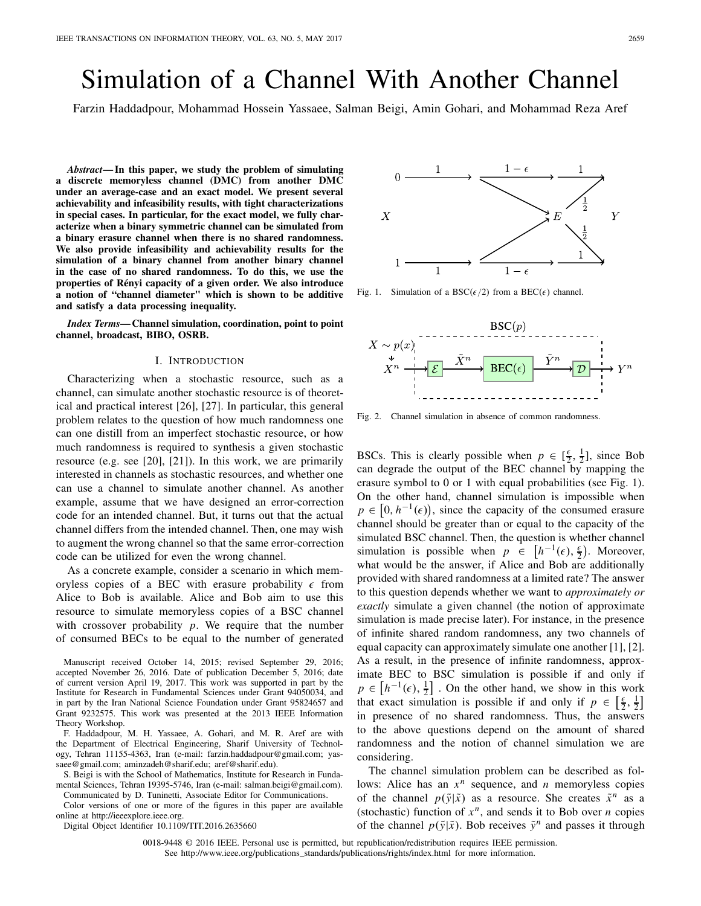# Simulation of a Channel With Another Channel

Farzin Haddadpour, Mohammad Hossein Yassaee, Salman Beigi, Amin Gohari, and Mohammad Reza Aref

*Abstract***— In this paper, we study the problem of simulating a discrete memoryless channel (DMC) from another DMC under an average-case and an exact model. We present several achievability and infeasibility results, with tight characterizations in special cases. In particular, for the exact model, we fully characterize when a binary symmetric channel can be simulated from a binary erasure channel when there is no shared randomness. We also provide infeasibility and achievability results for the simulation of a binary channel from another binary channel in the case of no shared randomness. To do this, we use the properties of Rényi capacity of a given order. We also introduce a notion of "channel diameter" which is shown to be additive and satisfy a data processing inequality.**

*Index Terms***— Channel simulation, coordination, point to point channel, broadcast, BIBO, OSRB.**

#### I. INTRODUCTION

Characterizing when a stochastic resource, such as a channel, can simulate another stochastic resource is of theoretical and practical interest [26], [27]. In particular, this general problem relates to the question of how much randomness one can one distill from an imperfect stochastic resource, or how much randomness is required to synthesis a given stochastic resource (e.g. see [20], [21]). In this work, we are primarily interested in channels as stochastic resources, and whether one can use a channel to simulate another channel. As another example, assume that we have designed an error-correction code for an intended channel. But, it turns out that the actual channel differs from the intended channel. Then, one may wish to augment the wrong channel so that the same error-correction code can be utilized for even the wrong channel.

As a concrete example, consider a scenario in which memoryless copies of a BEC with erasure probability  $\epsilon$  from Alice to Bob is available. Alice and Bob aim to use this resource to simulate memoryless copies of a BSC channel with crossover probability *p*. We require that the number of consumed BECs to be equal to the number of generated

Manuscript received October 14, 2015; revised September 29, 2016; accepted November 26, 2016. Date of publication December 5, 2016; date of current version April 19, 2017. This work was supported in part by the Institute for Research in Fundamental Sciences under Grant 94050034, and in part by the Iran National Science Foundation under Grant 95824657 and Grant 9232575. This work was presented at the 2013 IEEE Information Theory Workshop.

F. Haddadpour, M. H. Yassaee, A. Gohari, and M. R. Aref are with the Department of Electrical Engineering, Sharif University of Technology, Tehran 11155-4363, Iran (e-mail: farzin.haddadpour@gmail.com; yassaee@gmail.com; aminzadeh@sharif.edu; aref@sharif.edu).

S. Beigi is with the School of Mathematics, Institute for Research in Fundamental Sciences, Tehran 19395-5746, Iran (e-mail: salman.beigi@gmail.com). Communicated by D. Tuninetti, Associate Editor for Communications.

Color versions of one or more of the figures in this paper are available online at http://ieeexplore.ieee.org.

Digital Object Identifier 10.1109/TIT.2016.2635660

 $\overline{X}$ E  $\overline{Y}$  $\mathbf{1}$ 

Fig. 1. Simulation of a BSC( $\epsilon/2$ ) from a BEC( $\epsilon$ ) channel.



Fig. 2. Channel simulation in absence of common randomness.

BSCs. This is clearly possible when  $p \in [\frac{\epsilon}{2}, \frac{1}{2}]$ , since Bob can degrade the output of the BEC channel by mapping the erasure symbol to 0 or 1 with equal probabilities (see Fig. 1). On the other hand, channel simulation is impossible when  $p \in [0, h^{-1}(\epsilon))$ , since the capacity of the consumed erasure channel should be greater than or equal to the capacity of the simulated BSC channel. Then, the question is whether channel simulation is possible when  $p \in [h^{-1}(\epsilon), \frac{\epsilon}{2})$ . Moreover, what would be the answer, if Alice and Bob are additionally provided with shared randomness at a limited rate? The answer to this question depends whether we want to *approximately or exactly* simulate a given channel (the notion of approximate simulation is made precise later). For instance, in the presence of infinite shared random randomness, any two channels of equal capacity can approximately simulate one another [1], [2]. As a result, in the presence of infinite randomness, approximate BEC to BSC simulation is possible if and only if  $p \in \left[h^{-1}(\epsilon), \frac{1}{2}\right]$ . On the other hand, we show in this work that exact simulation is possible if and only if  $p \in \left[\frac{\epsilon}{2}, \frac{1}{2}\right]$ in presence of no shared randomness. Thus, the answers to the above questions depend on the amount of shared randomness and the notion of channel simulation we are considering.

The channel simulation problem can be described as follows: Alice has an  $x^n$  sequence, and *n* memoryless copies of the channel  $p(\tilde{y}|\tilde{x})$  as a resource. She creates  $\tilde{x}^n$  as a (stochastic) function of  $x^n$ , and sends it to Bob over *n* copies of the channel  $p(\tilde{y}|\tilde{x})$ . Bob receives  $\tilde{y}^n$  and passes it through

0018-9448 © 2016 IEEE. Personal use is permitted, but republication/redistribution requires IEEE permission. See http://www.ieee.org/publications\_standards/publications/rights/index.html for more information.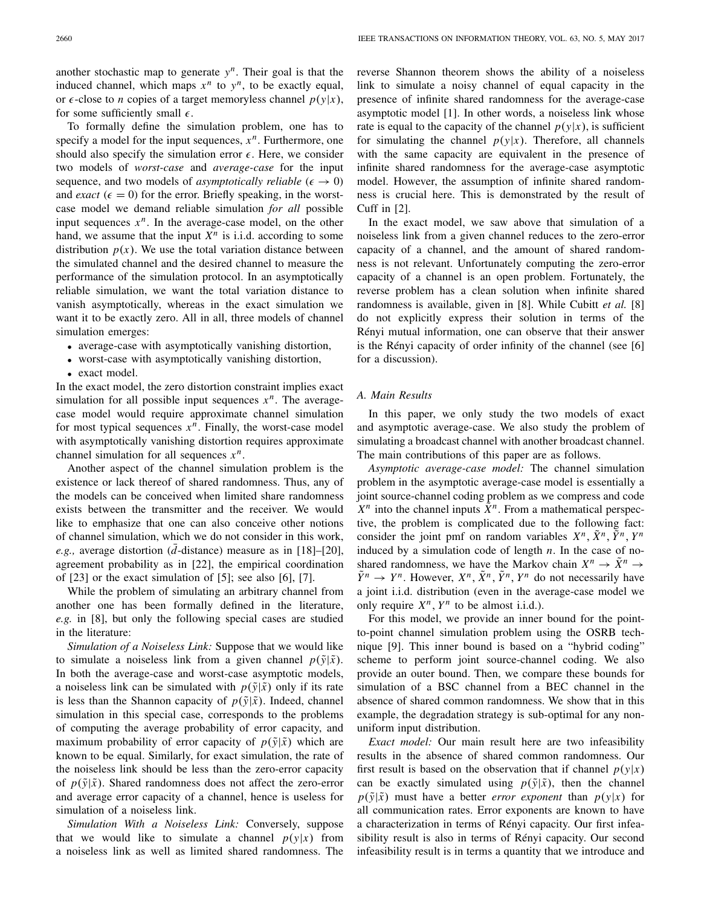another stochastic map to generate  $y^n$ . Their goal is that the induced channel, which maps  $x^n$  to  $y^n$ , to be exactly equal, or  $\epsilon$ -close to *n* copies of a target memoryless channel  $p(y|x)$ , for some sufficiently small  $\epsilon$ .

To formally define the simulation problem, one has to specify a model for the input sequences,  $x^n$ . Furthermore, one should also specify the simulation error  $\epsilon$ . Here, we consider two models of *worst-case* and *average-case* for the input sequence, and two models of *asymptotically reliable* ( $\epsilon \rightarrow 0$ ) and *exact* ( $\epsilon = 0$ ) for the error. Briefly speaking, in the worstcase model we demand reliable simulation *for all* possible input sequences  $x^n$ . In the average-case model, on the other hand, we assume that the input  $X^n$  is i.i.d. according to some distribution  $p(x)$ . We use the total variation distance between the simulated channel and the desired channel to measure the performance of the simulation protocol. In an asymptotically reliable simulation, we want the total variation distance to vanish asymptotically, whereas in the exact simulation we want it to be exactly zero. All in all, three models of channel simulation emerges:

- average-case with asymptotically vanishing distortion,
- worst-case with asymptotically vanishing distortion,
- exact model.

In the exact model, the zero distortion constraint implies exact simulation for all possible input sequences  $x^n$ . The averagecase model would require approximate channel simulation for most typical sequences  $x^n$ . Finally, the worst-case model with asymptotically vanishing distortion requires approximate channel simulation for all sequences  $x^n$ .

Another aspect of the channel simulation problem is the existence or lack thereof of shared randomness. Thus, any of the models can be conceived when limited share randomness exists between the transmitter and the receiver. We would like to emphasize that one can also conceive other notions of channel simulation, which we do not consider in this work, *e.g.*, average distortion ( $\overline{d}$ -distance) measure as in [18]–[20], agreement probability as in [22], the empirical coordination of [23] or the exact simulation of [5]; see also [6], [7].

While the problem of simulating an arbitrary channel from another one has been formally defined in the literature, *e.g.* in [8], but only the following special cases are studied in the literature:

*Simulation of a Noiseless Link:* Suppose that we would like to simulate a noiseless link from a given channel  $p(\tilde{y}|\tilde{x})$ . In both the average-case and worst-case asymptotic models, a noiseless link can be simulated with  $p(\tilde{y}|\tilde{x})$  only if its rate is less than the Shannon capacity of  $p(\tilde{y}|\tilde{x})$ . Indeed, channel simulation in this special case, corresponds to the problems of computing the average probability of error capacity, and maximum probability of error capacity of  $p(\tilde{y}|\tilde{x})$  which are known to be equal. Similarly, for exact simulation, the rate of the noiseless link should be less than the zero-error capacity of  $p(\tilde{y}|\tilde{x})$ . Shared randomness does not affect the zero-error and average error capacity of a channel, hence is useless for simulation of a noiseless link.

*Simulation With a Noiseless Link:* Conversely, suppose that we would like to simulate a channel  $p(y|x)$  from a noiseless link as well as limited shared randomness. The reverse Shannon theorem shows the ability of a noiseless link to simulate a noisy channel of equal capacity in the presence of infinite shared randomness for the average-case asymptotic model [1]. In other words, a noiseless link whose rate is equal to the capacity of the channel  $p(y|x)$ , is sufficient for simulating the channel  $p(y|x)$ . Therefore, all channels with the same capacity are equivalent in the presence of infinite shared randomness for the average-case asymptotic model. However, the assumption of infinite shared randomness is crucial here. This is demonstrated by the result of Cuff in [2].

In the exact model, we saw above that simulation of a noiseless link from a given channel reduces to the zero-error capacity of a channel, and the amount of shared randomness is not relevant. Unfortunately computing the zero-error capacity of a channel is an open problem. Fortunately, the reverse problem has a clean solution when infinite shared randomness is available, given in [8]. While Cubitt *et al.* [8] do not explicitly express their solution in terms of the Rényi mutual information, one can observe that their answer is the Rényi capacity of order infinity of the channel (see [6] for a discussion).

## *A. Main Results*

In this paper, we only study the two models of exact and asymptotic average-case. We also study the problem of simulating a broadcast channel with another broadcast channel. The main contributions of this paper are as follows.

*Asymptotic average-case model:* The channel simulation problem in the asymptotic average-case model is essentially a joint source-channel coding problem as we compress and code  $X^n$  into the channel inputs  $\tilde{X}^n$ . From a mathematical perspective, the problem is complicated due to the following fact: consider the joint pmf on random variables  $X^n$ ,  $\tilde{X}^n$ ,  $\tilde{Y}^n$ ,  $Y^n$ induced by a simulation code of length *n*. In the case of noshared randomness, we have the Markov chain  $X^n \to \overline{X}^n$  $\tilde{Y}^n \to Y^n$ . However,  $X^n$ ,  $\tilde{X}^n$ ,  $\tilde{Y}^n$ ,  $Y^n$  do not necessarily have a joint i.i.d. distribution (even in the average-case model we only require  $X^n$ ,  $Y^n$  to be almost i.i.d.).

For this model, we provide an inner bound for the pointto-point channel simulation problem using the OSRB technique [9]. This inner bound is based on a "hybrid coding" scheme to perform joint source-channel coding. We also provide an outer bound. Then, we compare these bounds for simulation of a BSC channel from a BEC channel in the absence of shared common randomness. We show that in this example, the degradation strategy is sub-optimal for any nonuniform input distribution.

*Exact model:* Our main result here are two infeasibility results in the absence of shared common randomness. Our first result is based on the observation that if channel  $p(y|x)$ can be exactly simulated using  $p(\tilde{y}|\tilde{x})$ , then the channel  $p(\tilde{y}|\tilde{x})$  must have a better *error exponent* than  $p(y|x)$  for all communication rates. Error exponents are known to have a characterization in terms of Rényi capacity. Our first infeasibility result is also in terms of Rényi capacity. Our second infeasibility result is in terms a quantity that we introduce and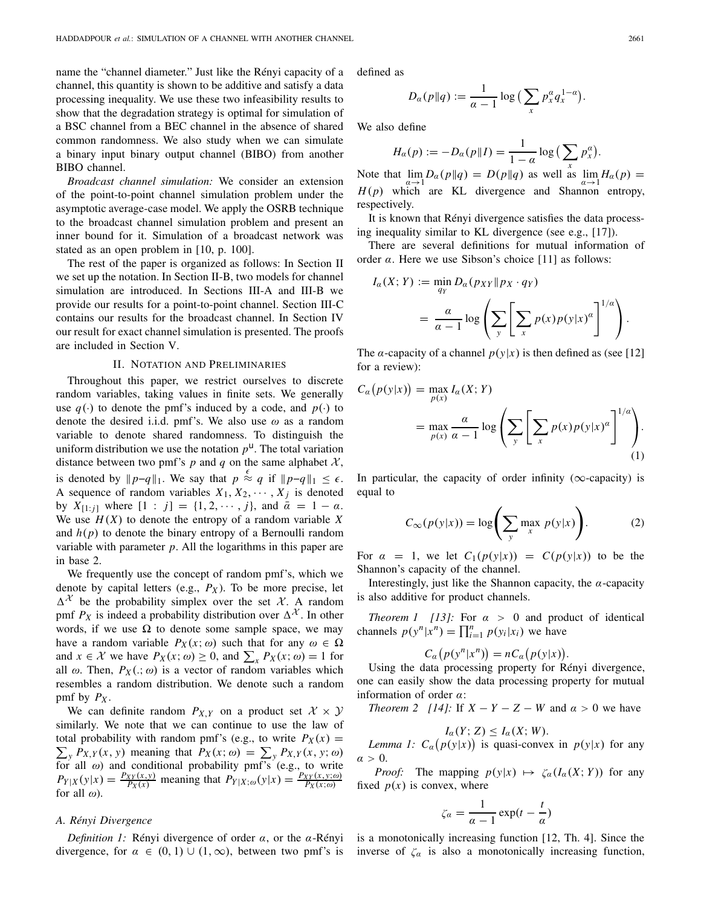name the "channel diameter." Just like the Rényi capacity of a channel, this quantity is shown to be additive and satisfy a data processing inequality. We use these two infeasibility results to show that the degradation strategy is optimal for simulation of a BSC channel from a BEC channel in the absence of shared common randomness. We also study when we can simulate a binary input binary output channel (BIBO) from another BIBO channel.

*Broadcast channel simulation:* We consider an extension of the point-to-point channel simulation problem under the asymptotic average-case model. We apply the OSRB technique to the broadcast channel simulation problem and present an inner bound for it. Simulation of a broadcast network was stated as an open problem in [10, p. 100].

The rest of the paper is organized as follows: In Section II we set up the notation. In Section II-B, two models for channel simulation are introduced. In Sections III-A and III-B we provide our results for a point-to-point channel. Section III-C contains our results for the broadcast channel. In Section IV our result for exact channel simulation is presented. The proofs are included in Section V.

#### II. NOTATION AND PRELIMINARIES

Throughout this paper, we restrict ourselves to discrete random variables, taking values in finite sets. We generally use  $q(\cdot)$  to denote the pmf's induced by a code, and  $p(\cdot)$  to denote the desired i.i.d. pmf's. We also use  $\omega$  as a random variable to denote shared randomness. To distinguish the uniform distribution we use the notation  $p^{\mathsf{u}}$ . The total variation distance between two pmf's  $p$  and  $q$  on the same alphabet  $\mathcal{X}$ , is denoted by  $||p-q||_1$ . We say that  $p \stackrel{\epsilon}{\approx} q$  if  $||p-q||_1 \leq \epsilon$ . A sequence of random variables  $X_1, X_2, \cdots, X_j$  is denoted by  $X_{[1:j]}$  where  $[1:j] = \{1, 2, \dots, j\}$ , and  $\bar{\alpha} = 1 - \alpha$ . We use  $H(X)$  to denote the entropy of a random variable X and  $h(p)$  to denote the binary entropy of a Bernoulli random variable with parameter *p*. All the logarithms in this paper are in base 2.

We frequently use the concept of random pmf's, which we denote by capital letters (e.g.,  $P_X$ ). To be more precise, let  $\Delta^{\mathcal{X}}$  be the probability simplex over the set  $\mathcal{X}$ . A random pmf  $P_X$  is indeed a probability distribution over  $\Delta^{\mathcal{X}}$ . In other words, if we use  $\Omega$  to denote some sample space, we may have a random variable  $P_X(x; \omega)$  such that for any  $\omega \in \Omega$ and  $x \in \mathcal{X}$  we have  $P_X(x; \omega) \ge 0$ , and  $\sum_{x} P_X(x; \omega) = 1$  for all  $\omega$ . Then,  $P_X(.,\omega)$  is a vector of random variables which resembles a random distribution. We denote such a random pmf by  $P_X$ .

We can definite random  $P_{X,Y}$  on a product set  $X \times Y$ similarly. We note that we can continue to use the law of total probability with random pmf's (e.g., to write  $P_X(x) =$  $\sum_{y} P_{X,Y}(x, y)$  meaning that  $P_X(x; \omega) = \sum_{y} P_{X,Y}(x, y; \omega)$ for all  $\omega$ ) and conditional probability pmf's (e.g., to write  $P_{Y|X}(y|x) = \frac{P_{XY}(x,y)}{P_X(x)}$  meaning that  $P_{Y|X;\omega}(y|x) = \frac{P_{XY}(x,y;\omega)}{P_X(x;\omega)}$ for all  $\omega$ ).

#### *A. Rényi Divergence*

*Definition 1:* Rényi divergence of order α, or the α-Rényi divergence, for  $\alpha \in (0, 1) \cup (1, \infty)$ , between two pmf's is defined as

$$
D_{\alpha}(p||q) := \frac{1}{\alpha - 1} \log \big( \sum_{x} p_x^{\alpha} q_x^{1-\alpha} \big).
$$

We also define

$$
H_{\alpha}(p) := -D_{\alpha}(p||I) = \frac{1}{1-\alpha} \log \left( \sum_{x} p_x^{\alpha} \right).
$$

Note that  $\lim_{\alpha \to 1} D_{\alpha}(p||q) = D(p||q)$  as well as  $\lim_{\alpha \to 1} H_{\alpha}(p) =$ *H*(*p*) which are KL divergence and Shannon entropy, respectively.

It is known that Rényi divergence satisfies the data processing inequality similar to KL divergence (see e.g., [17]).

There are several definitions for mutual information of order  $\alpha$ . Here we use Sibson's choice [11] as follows:

$$
I_{\alpha}(X; Y) := \min_{q_Y} D_{\alpha}(p_{XY} || p_X \cdot q_Y)
$$
  
= 
$$
\frac{\alpha}{\alpha - 1} \log \left( \sum_{y} \left[ \sum_{x} p(x) p(y | x)^{\alpha} \right]^{1/\alpha} \right).
$$

The *a*-capacity of a channel  $p(y|x)$  is then defined as (see [12] for a review):

$$
C_{\alpha}(p(y|x)) = \max_{p(x)} I_{\alpha}(X; Y)
$$
  
= 
$$
\max_{p(x)} \frac{\alpha}{\alpha - 1} \log \left( \sum_{y} \left[ \sum_{x} p(x) p(y|x)^{\alpha} \right]^{1/\alpha} \right).
$$
 (1)

In particular, the capacity of order infinity ( $\infty$ -capacity) is equal to

$$
C_{\infty}(p(y|x)) = \log\left(\sum_{y} \max_{x} p(y|x)\right). \tag{2}
$$

For  $\alpha = 1$ , we let  $C_1(p(y|x)) = C(p(y|x))$  to be the Shannon's capacity of the channel.

Interestingly, just like the Shannon capacity, the  $\alpha$ -capacity is also additive for product channels.

*Theorem 1 [13]:* For  $\alpha > 0$  and product of identical channels  $p(y^n|x^n) = \prod_{i=1}^n p(y_i|x_i)$  we have

$$
C_{\alpha}(p(y^n|x^n)) = nC_{\alpha}(p(y|x)).
$$

Using the data processing property for Rényi divergence, one can easily show the data processing property for mutual information of order  $\alpha$ :

*Theorem 2 [14]:* If  $X - Y - Z - W$  and  $\alpha > 0$  we have

$$
I_{\alpha}(Y; Z) \leq I_{\alpha}(X; W).
$$

*Lemma 1:*  $C_{\alpha}(p(y|x))$  is quasi-convex in  $p(y|x)$  for any  $\alpha > 0$ .

*Proof:* The mapping  $p(y|x) \mapsto \zeta_a(I_a(X; Y))$  for any fixed  $p(x)$  is convex, where

$$
\zeta_{\alpha} = \frac{1}{\alpha - 1} \exp(t - \frac{t}{\alpha})
$$

is a monotonically increasing function [12, Th. 4]. Since the inverse of  $\zeta_a$  is also a monotonically increasing function,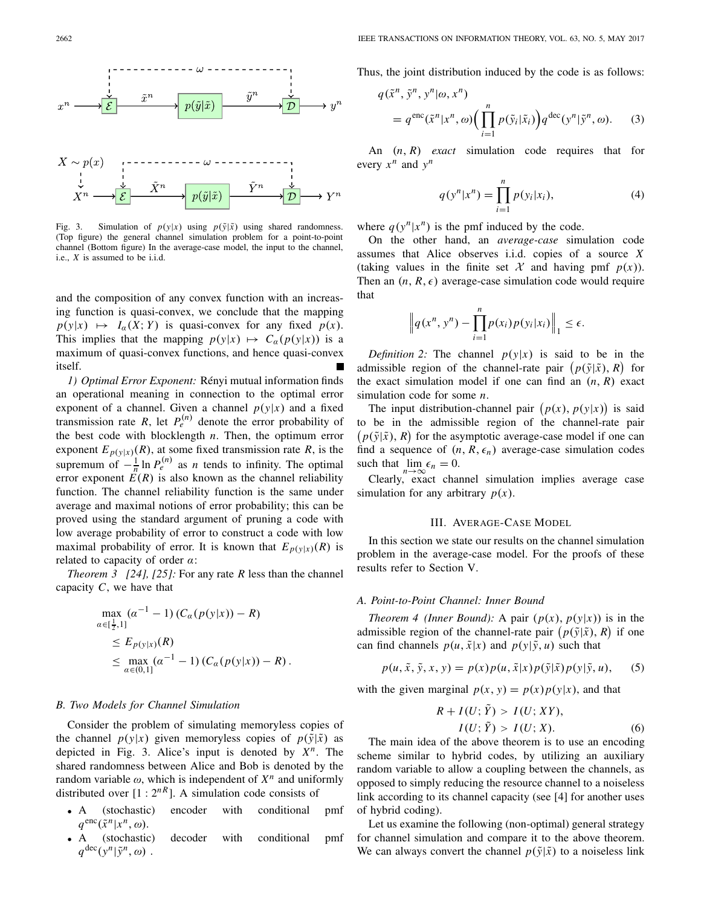

Fig. 3. Simulation of  $p(y|x)$  using  $p(\tilde{y}|\tilde{x})$  using shared randomness. (Top figure) the general channel simulation problem for a point-to-point channel (Bottom figure) In the average-case model, the input to the channel, i.e., *X* is assumed to be i.i.d.

and the composition of any convex function with an increasing function is quasi-convex, we conclude that the mapping  $p(y|x) \mapsto I_\alpha(X;Y)$  is quasi-convex for any fixed  $p(x)$ . This implies that the mapping  $p(y|x) \mapsto C_\alpha(p(y|x))$  is a maximum of quasi-convex functions, and hence quasi-convex itself.

*1) Optimal Error Exponent:* Rényi mutual information finds an operational meaning in connection to the optimal error exponent of a channel. Given a channel  $p(y|x)$  and a fixed transmission rate *R*, let  $P_e^{(n)}$  denote the error probability of the best code with blocklength *n*. Then, the optimum error exponent  $E_{p(y|x)}(R)$ , at some fixed transmission rate *R*, is the supremum of  $-\frac{1}{n}\ln P_e^{(n)}$  as *n* tends to infinity. The optimal error exponent  $E(R)$  is also known as the channel reliability function. The channel reliability function is the same under average and maximal notions of error probability; this can be proved using the standard argument of pruning a code with low average probability of error to construct a code with low maximal probability of error. It is known that  $E_{p(y|x)}(R)$  is related to capacity of order  $\alpha$ :

*Theorem 3 [24], [25]:* For any rate *R* less than the channel capacity *C*, we have that

$$
\max_{\alpha \in [\frac{1}{2}, 1]} (\alpha^{-1} - 1) (C_{\alpha}(p(y|x)) - R)
$$
  
\n
$$
\leq E_{p(y|x)}(R)
$$
  
\n
$$
\leq \max_{\alpha \in (0, 1]} (\alpha^{-1} - 1) (C_{\alpha}(p(y|x)) - R).
$$

#### *B. Two Models for Channel Simulation*

Consider the problem of simulating memoryless copies of the channel  $p(y|x)$  given memoryless copies of  $p(\tilde{y}|\tilde{x})$  as depicted in Fig. 3. Alice's input is denoted by *Xn*. The shared randomness between Alice and Bob is denoted by the random variable  $\omega$ , which is independent of  $X^n$  and uniformly distributed over  $[1 : 2^{nR}]$ . A simulation code consists of

- A (stochastic) encoder with conditional pmf  $q^{\text{enc}}(\tilde{x}^n|x^n,\omega).$
- A (stochastic) decoder with conditional pmf  $q^{\text{dec}}(y^n | \tilde{y}^n, \omega)$ .

Thus, the joint distribution induced by the code is as follows:

$$
q(\tilde{x}^n, \tilde{y}^n, y^n | \omega, x^n)
$$
  
=  $q^{\text{enc}}(\tilde{x}^n | x^n, \omega) \Big( \prod_{i=1}^n p(\tilde{y}_i | \tilde{x}_i) \Big) q^{\text{dec}}(y^n | \tilde{y}^n, \omega).$  (3)

An (*n*, *R*) *exact* simulation code requires that for every  $x^n$  and  $y^n$ 

$$
q(y^n|x^n) = \prod_{i=1}^n p(y_i|x_i),
$$
 (4)

where  $q(y^n|x^n)$  is the pmf induced by the code.

On the other hand, an *average-case* simulation code assumes that Alice observes i.i.d. copies of a source *X* (taking values in the finite set X and having pmf  $p(x)$ ). Then an  $(n, R, \epsilon)$  average-case simulation code would require that

$$
\left\|q(x^n, y^n) - \prod_{i=1}^n p(x_i)p(y_i|x_i)\right\|_1 \leq \epsilon.
$$

*Definition 2:* The channel  $p(y|x)$  is said to be in the admissible region of the channel-rate pair  $(p(\tilde{y}|\tilde{x}), R)$  for the exact simulation model if one can find an  $(n, R)$  exact simulation code for some *n*.

The input distribution-channel pair  $(p(x), p(y|x))$  is said to be in the admissible region of the channel-rate pair  $p(\tilde{y}|\tilde{x})$ , *R*) for the asymptotic average-case model if one can find a sequence of  $(n, R, \epsilon_n)$  average-case simulation codes such that  $\lim_{n \to \infty} \epsilon_n = 0$ .

Clearly, exact channel simulation implies average case simulation for any arbitrary  $p(x)$ .

#### III. AVERAGE-CASE MODEL

In this section we state our results on the channel simulation problem in the average-case model. For the proofs of these results refer to Section V.

#### *A. Point-to-Point Channel: Inner Bound*

*Theorem 4 (Inner Bound):* A pair  $(p(x), p(y|x))$  is in the admissible region of the channel-rate pair  $(p(\tilde{y}|\tilde{x}), R)$  if one can find channels  $p(u, \tilde{x}|x)$  and  $p(y|\tilde{y}, u)$  such that

$$
p(u, \tilde{x}, \tilde{y}, x, y) = p(x)p(u, \tilde{x}|x)p(\tilde{y}|\tilde{x})p(y|\tilde{y}, u),
$$
 (5)

with the given marginal  $p(x, y) = p(x)p(y|x)$ , and that

$$
R + I(U; \tilde{Y}) > I(U; XY),
$$
  

$$
I(U; \tilde{Y}) > I(U; X).
$$
 (6)

The main idea of the above theorem is to use an encoding scheme similar to hybrid codes, by utilizing an auxiliary random variable to allow a coupling between the channels, as opposed to simply reducing the resource channel to a noiseless link according to its channel capacity (see [4] for another uses of hybrid coding).

Let us examine the following (non-optimal) general strategy for channel simulation and compare it to the above theorem. We can always convert the channel  $p(\tilde{y}|\tilde{x})$  to a noiseless link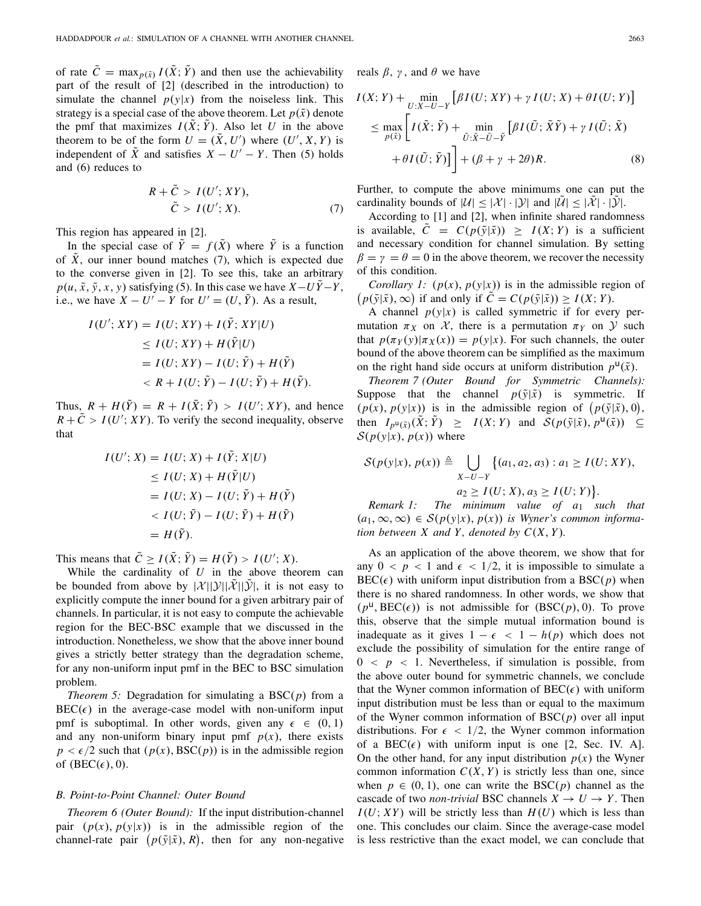of rate  $\tilde{C} = \max_{p(\tilde{x})} I(\tilde{X}; \tilde{Y})$  and then use the achievability part of the result of [2] (described in the introduction) to simulate the channel  $p(y|x)$  from the noiseless link. This strategy is a special case of the above theorem. Let  $p(\tilde{x})$  denote the pmf that maximizes  $I(X; Y)$ . Also let *U* in the above theorem to be of the form  $U = (\tilde{X}, U')$  where  $(U', X, Y)$  is independent of  $\overline{X}$  and satisfies  $X - U' - Y$ . Then (5) holds and (6) reduces to

$$
R + \tilde{C} > I(U'; XY),
$$
  
\n
$$
\tilde{C} > I(U'; X). \tag{7}
$$

This region has appeared in [2].

In the special case of  $\tilde{Y} = f(\tilde{X})$  where  $\tilde{Y}$  is a function of  $\overline{X}$ , our inner bound matches (7), which is expected due to the converse given in [2]. To see this, take an arbitrary  $p(u, \tilde{x}, \tilde{y}, x, y)$  satisfying (5). In this case we have  $X - U\tilde{Y} - Y$ , i.e., we have  $X - U' - Y$  for  $U' = (U, \tilde{Y})$ . As a result,

$$
I(U'; XY) = I(U; XY) + I(\tilde{Y}; XY|U)
$$
  
\n
$$
\leq I(U; XY) + H(\tilde{Y}|U)
$$
  
\n
$$
= I(U; XY) - I(U; \tilde{Y}) + H(\tilde{Y})
$$
  
\n
$$
< R + I(U; \tilde{Y}) - I(U; \tilde{Y}) + H(\tilde{Y}).
$$

Thus,  $R + H(\tilde{Y}) = R + I(\tilde{X}; \tilde{Y}) > I(U'; XY)$ , and hence  $R + \tilde{C} > I(U'; XY)$ . To verify the second inequality, observe that

$$
I(U'; X) = I(U; X) + I(\tilde{Y}; X|U)
$$
  
\n
$$
\leq I(U; X) + H(\tilde{Y}|U)
$$
  
\n
$$
= I(U; X) - I(U; \tilde{Y}) + H(\tilde{Y})
$$
  
\n
$$
< I(U; \tilde{Y}) - I(U; \tilde{Y}) + H(\tilde{Y})
$$
  
\n
$$
= H(\tilde{Y}).
$$

This means that  $\tilde{C} \geq I(\tilde{X}; \tilde{Y}) = H(\tilde{Y}) > I(U'; X)$ .

While the cardinality of *U* in the above theorem can be bounded from above by  $|\mathcal{X}||\mathcal{Y}||\mathcal{X}||\mathcal{Y}$ , it is not easy to explicitly compute the inner bound for a given arbitrary pair of channels. In particular, it is not easy to compute the achievable region for the BEC-BSC example that we discussed in the introduction. Nonetheless, we show that the above inner bound gives a strictly better strategy than the degradation scheme, for any non-uniform input pmf in the BEC to BSC simulation problem.

*Theorem 5:* Degradation for simulating a BSC(*p*) from a  $BEC(\epsilon)$  in the average-case model with non-uniform input pmf is suboptimal. In other words, given any  $\epsilon \in (0, 1)$ and any non-uniform binary input pmf  $p(x)$ , there exists  $p < \epsilon/2$  such that  $(p(x), BSC(p))$  is in the admissible region of  $(BEC(\epsilon), 0)$ .

## *B. Point-to-Point Channel: Outer Bound*

*Theorem 6 (Outer Bound):* If the input distribution-channel pair  $(p(x), p(y|x))$  is in the admissible region of the channel-rate pair  $(p(\tilde{y}|\tilde{x}), R)$ , then for any non-negative reals  $\beta$ ,  $\gamma$ , and  $\theta$  we have

$$
I(X; Y) + \min_{U:X-U-Y} \left[ \beta I(U; XY) + \gamma I(U; X) + \theta I(U; Y) \right]
$$
  
\n
$$
\leq \max_{p(\tilde{x})} \left[ I(\tilde{X}; \tilde{Y}) + \min_{\tilde{U}: \tilde{X} - \tilde{U} - \tilde{Y}} \left[ \beta I(\tilde{U}; \tilde{X}\tilde{Y}) + \gamma I(\tilde{U}; \tilde{X}) \right] + (\beta + \gamma + 2\theta) R.
$$
 (8)

Further, to compute the above minimums one can put the cardinality bounds of  $|\mathcal{U}| \leq |\mathcal{X}| \cdot |\mathcal{Y}|$  and  $|\mathcal{U}| \leq |\mathcal{X}| \cdot |\mathcal{Y}|$ .

According to [1] and [2], when infinite shared randomness is available,  $C = C(p(\tilde{y}|\tilde{x})) \geq I(X;Y)$  is a sufficient and necessary condition for channel simulation. By setting  $\beta = \gamma = \theta = 0$  in the above theorem, we recover the necessity of this condition.

*Corollary 1:*  $(p(x), p(y|x))$  is in the admissible region of  $p(\tilde{y}|\tilde{x}), \infty)$  if and only if  $\tilde{C} = C(p(\tilde{y}|\tilde{x})) \geq I(X; Y)$ .

A channel  $p(y|x)$  is called symmetric if for every permutation  $\pi_X$  on  $\mathcal{X}$ , there is a permutation  $\pi_Y$  on  $\mathcal{Y}$  such that  $p(\pi_Y(y)|\pi_X(x)) = p(y|x)$ . For such channels, the outer bound of the above theorem can be simplified as the maximum on the right hand side occurs at uniform distribution  $p^{\mathsf{U}}(\tilde{x})$ .

*Theorem 7 (Outer Bound for Symmetric Channels):* Suppose that the channel  $p(\tilde{y}|\tilde{x})$  is symmetric. If  $(p(x), p(y|x))$  is in the admissible region of  $(p(\tilde{y}|\tilde{x}), 0)$ , then  $I_{p^u(\tilde{x})}(\tilde{X}; \tilde{Y}) \geq I(X; Y)$  and  $\mathcal{S}(p(\tilde{y}|\tilde{x}), p^u(\tilde{x})) \subseteq$  $S(p(y|x), p(x))$  where

$$
\mathcal{S}(p(y|x), p(x)) \triangleq \bigcup_{X-U-Y} \{(a_1, a_2, a_3) : a_1 \ge I(U; XY),
$$
  

$$
a_2 \ge I(U; X), a_3 \ge I(U; Y)\}.
$$

*Remark 1: The minimum value of a*<sup>1</sup> *such that* (*a*1,∞,∞) ∈ *S*(*p*(*y*|*x*), *p*(*x*)) *is Wyner's common information between*  $X$  *and*  $Y$ *, denoted by*  $C(X, Y)$ *.* 

As an application of the above theorem, we show that for any  $0 < p < 1$  and  $\epsilon < 1/2$ , it is impossible to simulate a  $BEC(\epsilon)$  with uniform input distribution from a  $BSC(p)$  when there is no shared randomness. In other words, we show that  $(p^{\mathsf{u}},\text{BEC}(\epsilon))$  is not admissible for  $(\text{BSC}(p),0)$ . To prove this, observe that the simple mutual information bound is inadequate as it gives  $1 - \epsilon < 1 - h(p)$  which does not exclude the possibility of simulation for the entire range of  $0 < p < 1$ . Nevertheless, if simulation is possible, from the above outer bound for symmetric channels, we conclude that the Wyner common information of  $BEC(\epsilon)$  with uniform input distribution must be less than or equal to the maximum of the Wyner common information of  $BSC(p)$  over all input distributions. For  $\epsilon$  < 1/2, the Wyner common information of a BEC( $\epsilon$ ) with uniform input is one [2, Sec. IV. A]. On the other hand, for any input distribution  $p(x)$  the Wyner common information  $C(X, Y)$  is strictly less than one, since when  $p \in (0, 1)$ , one can write the BSC(*p*) channel as the cascade of two *non-trivial* BSC channels  $X \to U \to Y$ . Then  $I(U; XY)$  will be strictly less than  $H(U)$  which is less than one. This concludes our claim. Since the average-case model is less restrictive than the exact model, we can conclude that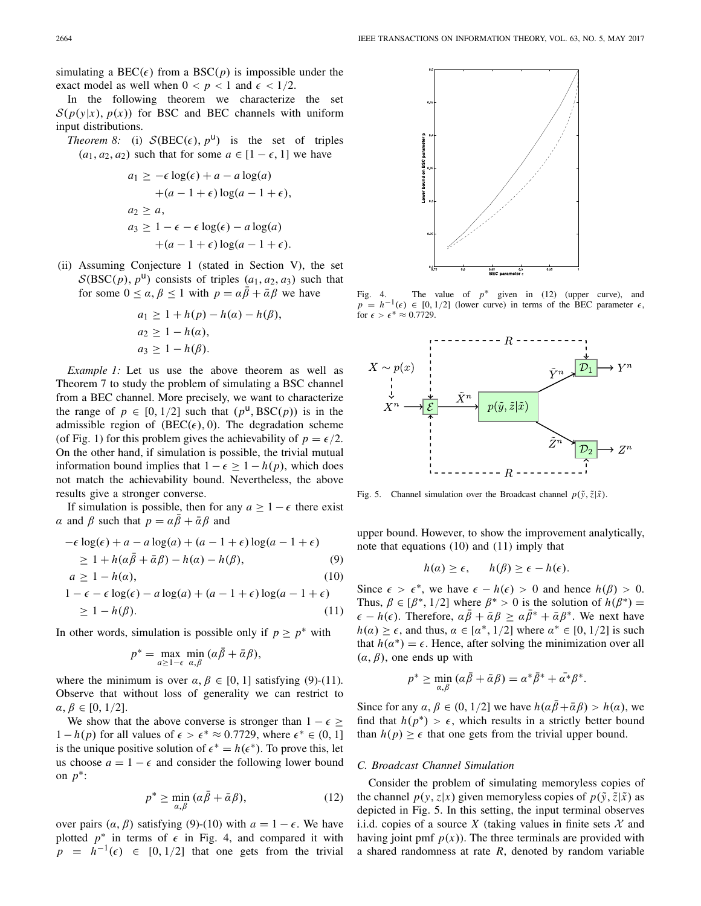simulating a BEC( $\epsilon$ ) from a BSC( $p$ ) is impossible under the exact model as well when  $0 < p < 1$  and  $\epsilon < 1/2$ .

In the following theorem we characterize the set  $S(p(y|x), p(x))$  for BSC and BEC channels with uniform input distributions.

*Theorem 8:* (i)  $S( BEC(\epsilon), p^{\mathsf{u}})$  is the set of triples  $(a_1, a_2, a_2)$  such that for some  $a \in [1 - \epsilon, 1]$  we have

$$
a_1 \ge -\epsilon \log(\epsilon) + a - a \log(a)
$$
  
+
$$
(a - 1 + \epsilon) \log(a - 1 + \epsilon),
$$
  

$$
a_2 \ge a,
$$
  

$$
a_3 \ge 1 - \epsilon - \epsilon \log(\epsilon) - a \log(a)
$$
  
+
$$
(a - 1 + \epsilon) \log(a - 1 + \epsilon).
$$

(ii) Assuming Conjecture 1 (stated in Section V), the set  $S( BSC(p), p^{\text{u}})$  consists of triples  $(a_1, a_2, a_3)$  such that for some  $0 \le \alpha, \beta \le 1$  with  $p = \alpha \beta + \overline{\alpha} \beta$  we have

$$
a_1 \ge 1 + h(p) - h(\alpha) - h(\beta),
$$
  
\n
$$
a_2 \ge 1 - h(\alpha),
$$
  
\n
$$
a_3 \ge 1 - h(\beta).
$$

*Example 1:* Let us use the above theorem as well as Theorem 7 to study the problem of simulating a BSC channel from a BEC channel. More precisely, we want to characterize the range of  $p \in [0, 1/2]$  such that  $(p^{\mathsf{u}}, BSC(p))$  is in the admissible region of  $(BEC(\epsilon), 0)$ . The degradation scheme (of Fig. 1) for this problem gives the achievability of  $p = \epsilon/2$ . On the other hand, if simulation is possible, the trivial mutual information bound implies that  $1 - \epsilon \geq 1 - h(p)$ , which does not match the achievability bound. Nevertheless, the above results give a stronger converse.

If simulation is possible, then for any  $a \geq 1 - \epsilon$  there exist  $\alpha$  and  $\beta$  such that  $p = \alpha \bar{\beta} + \bar{\alpha} \beta$  and

$$
-\epsilon \log(\epsilon) + a - a \log(a) + (a - 1 + \epsilon) \log(a - 1 + \epsilon)
$$
  
\n
$$
\geq 1 + h(\alpha \bar{\beta} + \bar{\alpha} \beta) - h(\alpha) - h(\beta),
$$
 (9)

$$
a \ge 1 - h(a),\tag{10}
$$

$$
1 - \epsilon - \epsilon \log(\epsilon) - a \log(a) + (a - 1 + \epsilon) \log(a - 1 + \epsilon)
$$
  
\n
$$
\geq 1 - h(\beta). \tag{11}
$$

In other words, simulation is possible only if  $p \geq p^*$  with

$$
p^* = \max_{a \ge 1-\epsilon} \min_{\alpha,\beta} (\alpha \bar{\beta} + \bar{\alpha} \beta),
$$

where the minimum is over  $\alpha, \beta \in [0, 1]$  satisfying (9)-(11). Observe that without loss of generality we can restrict to  $\alpha, \beta \in [0, 1/2].$ 

We show that the above converse is stronger than  $1 - \epsilon \ge$ 1 − *h*(*p*) for all values of  $\epsilon > \epsilon^* \approx 0.7729$ , where  $\epsilon^* \in (0, 1]$ is the unique positive solution of  $\epsilon^* = h(\epsilon^*)$ . To prove this, let us choose  $a = 1 - \epsilon$  and consider the following lower bound on *p*∗:

$$
p^* \ge \min_{\alpha,\beta} \left( \alpha \bar{\beta} + \bar{\alpha} \beta \right),\tag{12}
$$

over pairs  $(\alpha, \beta)$  satisfying (9)-(10) with  $a = 1 - \epsilon$ . We have plotted  $p^*$  in terms of  $\epsilon$  in Fig. 4, and compared it with  $p = h^{-1}(\epsilon) \in [0, 1/2]$  that one gets from the trivial



Fig. 4. The value of  $p^*$  given in (12) (upper curve), and  $p = h^{-1}(\epsilon) \in [0, 1/2]$  (lower curve) in terms of the BEC parameter  $\epsilon$ , for  $\epsilon > \epsilon^* \approx 0.7729$ .



Fig. 5. Channel simulation over the Broadcast channel  $p(\tilde{y}, \tilde{z} | \tilde{x})$ .

upper bound. However, to show the improvement analytically, note that equations (10) and (11) imply that

$$
h(\alpha) \ge \epsilon, \qquad h(\beta) \ge \epsilon - h(\epsilon).
$$

Since  $\epsilon > \epsilon^*$ , we have  $\epsilon - h(\epsilon) > 0$  and hence  $h(\beta) > 0$ . Thus,  $\beta \in [\beta^*, 1/2]$  where  $\beta^* > 0$  is the solution of  $h(\beta^*) =$  $\epsilon - h(\epsilon)$ . Therefore,  $\alpha \bar{\beta} + \bar{\alpha} \beta \ge \alpha \bar{\beta}^* + \bar{\alpha} \beta^*$ . We next have  $h(\alpha) \geq \epsilon$ , and thus,  $\alpha \in [\alpha^*, 1/2]$  where  $\alpha^* \in [0, 1/2]$  is such that  $h(\alpha^*) = \epsilon$ . Hence, after solving the minimization over all  $(\alpha, \beta)$ , one ends up with

$$
p^* \ge \min_{\alpha,\beta} (\alpha \bar{\beta} + \bar{\alpha} \beta) = \alpha^* \bar{\beta}^* + \bar{\alpha^*} \beta^*.
$$

Since for any  $\alpha, \beta \in (0, 1/2]$  we have  $h(\alpha \overline{\beta} + \overline{\alpha} \beta) > h(\alpha)$ , we find that  $h(p^*) > \epsilon$ , which results in a strictly better bound than  $h(p) \geq \epsilon$  that one gets from the trivial upper bound.

## *C. Broadcast Channel Simulation*

Consider the problem of simulating memoryless copies of the channel  $p(y, z|x)$  given memoryless copies of  $p(\tilde{y}, \tilde{z}|\tilde{x})$  as depicted in Fig. 5. In this setting, the input terminal observes i.i.d. copies of a source *X* (taking values in finite sets  $X$  and having joint pmf  $p(x)$ ). The three terminals are provided with a shared randomness at rate *R*, denoted by random variable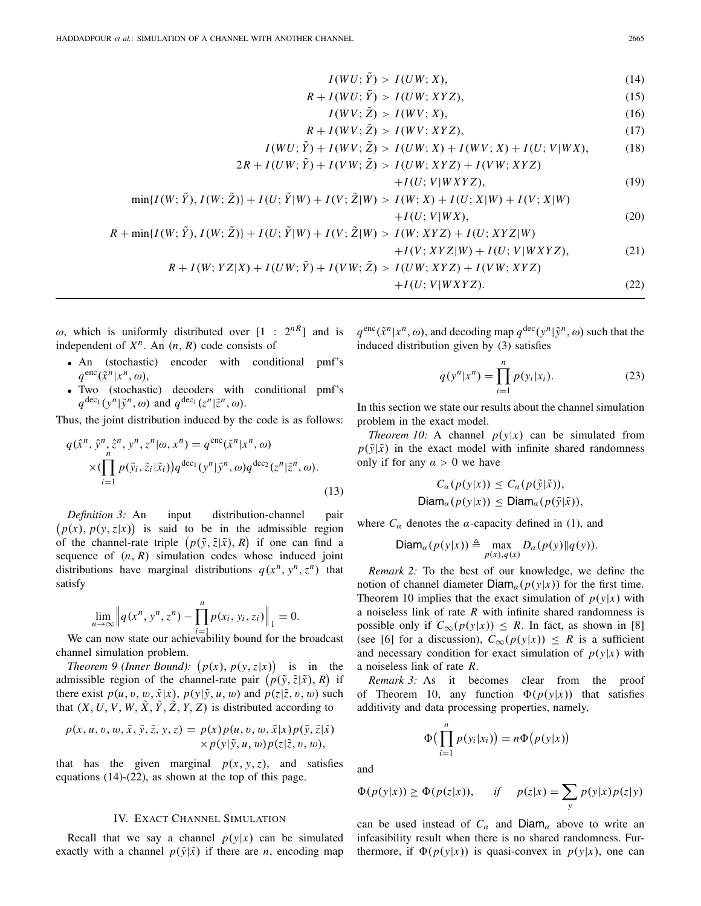$$
I(WU; \tilde{Y}) > I(UW; X), \tag{14}
$$

$$
R + I(WU; \tilde{Y}) > I(UW; XYZ), \tag{15}
$$

$$
I(WV; \tilde{Z}) > I(WV; X), \tag{16}
$$

$$
R + I(WV; \tilde{Z}) > I(WV; XYZ),\tag{17}
$$

$$
I(WU; \tilde{Y}) + I(WV; \tilde{Z}) > I(UW; X) + I(WV; X) + I(U; V|WX),
$$
 (18)

$$
2R + I(UW; \tilde{Y}) + I(VW; \tilde{Z}) > I(UW; XYZ) + I(VW; XYZ)
$$

$$
+I(U;V|WXYZ),\t(19)
$$

$$
\min\{I(W; \tilde{Y}), I(W; \tilde{Z})\} + I(U; \tilde{Y}|W) + I(V; \tilde{Z}|W) > I(W; X) + I(U; X|W) + I(V; X|W)
$$

$$
+I(U;V|WX),\t(20)
$$

$$
R + \min\{I(W; \tilde{Y}), I(W; \tilde{Z})\} + I(U; \tilde{Y}|W) + I(V; \tilde{Z}|W) > I(W; XYZ) + I(U; XYZ|W)
$$

$$
+I(V; XYZ|W) + I(U; V|WXYZ),
$$
  
(21)  

$$
R + I(W; YZ|X) + I(UW; \tilde{Y}) + I(VW; \tilde{Z}) > I(UW; XYZ) + I(VW; XYZ)
$$

$$
+I(U;V|WXYZ). \t(22)
$$

ω, which is uniformly distributed over  $[1 : 2<sup>nR</sup>]$  and is independent of  $X^n$ . An  $(n, R)$  code consists of

- An (stochastic) encoder with conditional pmf's  $q^{\text{enc}}(\tilde{x}^n|x^n,\omega),$
- Two (stochastic) decoders with conditional pmf's  $q^{\text{dec}_1}(y^n | \tilde{y}^n, \omega)$  and  $q^{\text{dec}_1}(z^n | \tilde{z}^n, \omega)$ .

Thus, the joint distribution induced by the code is as follows:

$$
q(\hat{x}^n, \hat{y}^n, \hat{z}^n, y^n, z^n | \omega, x^n) = q^{\text{enc}}(\tilde{x}^n | x^n, \omega)
$$

$$
\times (\prod_{i=1}^n p(\tilde{y}_i, \tilde{z}_i | \tilde{x}_i)) q^{\text{dec}_1}(y^n | \tilde{y}^n, \omega) q^{\text{dec}_2}(z^n | \tilde{z}^n, \omega). \tag{13}
$$

*Definition 3:* An input distribution-channel pair  $p(x)$ ,  $p(y, z|x)$  is said to be in the admissible region of the channel-rate triple  $(p(\tilde{y}, \tilde{z} | \tilde{x}), R)$  if one can find a sequence of  $(n, R)$  simulation codes whose induced joint distributions have marginal distributions  $q(x^n, y^n, z^n)$  that satisfy

$$
\lim_{n \to \infty} \left\| q(x^n, y^n, z^n) - \prod_{i=1}^n p(x_i, y_i, z_i) \right\|_1 = 0.
$$

We can now state our achievability bound for the broadcast channel simulation problem.

*Theorem 9 (Inner Bound):*  $(p(x), p(y, z|x))$  is in the admissible region of the channel-rate pair  $(p(\tilde{y}, \tilde{z} | \tilde{x}), R)$  if there exist  $p(u, v, w, \tilde{x}|x)$ ,  $p(y|\tilde{y}, u, w)$  and  $p(z|\tilde{z}, v, w)$  such that  $(X, U, V, W, X, Y, Z, Y, Z)$  is distributed according to

$$
p(x, u, v, w, \tilde{x}, \tilde{y}, \tilde{z}, y, z) = p(x)p(u, v, w, \tilde{x}|x)p(\tilde{y}, \tilde{z}|\tilde{x})
$$
  
 
$$
\times p(y|\tilde{y}, u, w)p(z|\tilde{z}, v, w),
$$

that has the given marginal  $p(x, y, z)$ , and satisfies equations (14)-(22), as shown at the top of this page.

## IV. EXACT CHANNEL SIMULATION

Recall that we say a channel  $p(y|x)$  can be simulated exactly with a channel  $p(\tilde{y}|\tilde{x})$  if there are *n*, encoding map  $q^{\text{enc}}(\tilde{x}^n|x^n, \omega)$ , and decoding map  $q^{\text{dec}}(y^n|\tilde{y}^n, \omega)$  such that the induced distribution given by (3) satisfies

$$
q(y^n|x^n) = \prod_{i=1}^n p(y_i|x_i).
$$
 (23)

In this section we state our results about the channel simulation problem in the exact model.

*Theorem 10:* A channel  $p(y|x)$  can be simulated from  $p(\tilde{y}|\tilde{x})$  in the exact model with infinite shared randomness only if for any  $\alpha > 0$  we have

$$
C_{\alpha}(p(y|x)) \leq C_{\alpha}(p(\tilde{y}|\tilde{x})),
$$
  
Diam <sub>$\alpha$</sub> (p(y|x))  $\leq$  Diam <sub>$\alpha$</sub> (p(\tilde{y}|\tilde{x})),

where  $C_{\alpha}$  denotes the  $\alpha$ -capacity defined in (1), and

$$
\mathsf{Diam}_{\alpha}(p(y|x)) \triangleq \max_{p(x),q(x)} D_{\alpha}(p(y)||q(y)).
$$

*Remark 2:* To the best of our knowledge, we define the notion of channel diameter  $Diam_{\alpha}(p(y|x))$  for the first time. Theorem 10 implies that the exact simulation of  $p(y|x)$  with a noiseless link of rate *R* with infinite shared randomness is possible only if  $C_{\infty}(p(y|x)) \leq R$ . In fact, as shown in [8] (see [6] for a discussion),  $C_{\infty}(p(y|x)) \leq R$  is a sufficient and necessary condition for exact simulation of  $p(y|x)$  with a noiseless link of rate *R*.

*Remark 3:* As it becomes clear from the proof of Theorem 10, any function  $\Phi(p(y|x))$  that satisfies additivity and data processing properties, namely,

$$
\Phi\big(\prod_{i=1}^n p(y_i|x_i)\big) = n\Phi\big(p(y|x)\big)
$$

and

$$
\Phi(p(y|x)) \ge \Phi(p(z|x)), \quad \text{if} \quad p(z|x) = \sum_{y} p(y|x)p(z|y)
$$

can be used instead of  $C_a$  and  $Diam_a$  above to write an infeasibility result when there is no shared randomness. Furthermore, if  $\Phi(p(y|x))$  is quasi-convex in  $p(y|x)$ , one can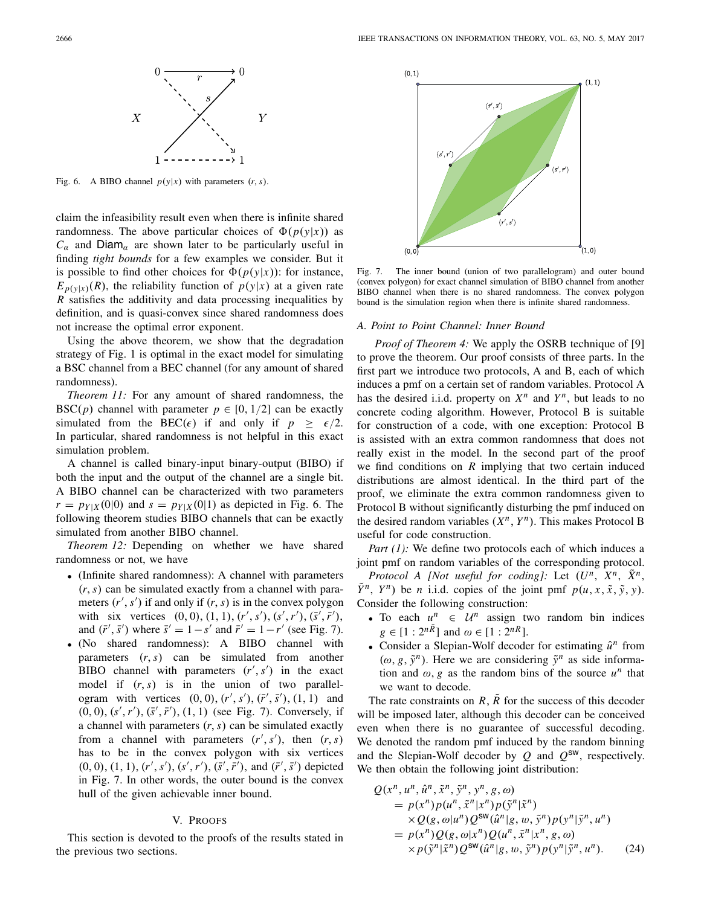

Fig. 6. A BIBO channel  $p(y|x)$  with parameters  $(r, s)$ .

claim the infeasibility result even when there is infinite shared randomness. The above particular choices of  $\Phi(p(y|x))$  as  $C_{\alpha}$  and Diam<sub>α</sub> are shown later to be particularly useful in finding *tight bounds* for a few examples we consider. But it is possible to find other choices for  $\Phi(p(y|x))$ : for instance,  $E_{p(y|x)}(R)$ , the reliability function of  $p(y|x)$  at a given rate *R* satisfies the additivity and data processing inequalities by definition, and is quasi-convex since shared randomness does not increase the optimal error exponent.

Using the above theorem, we show that the degradation strategy of Fig. 1 is optimal in the exact model for simulating a BSC channel from a BEC channel (for any amount of shared randomness).

*Theorem 11:* For any amount of shared randomness, the BSC(*p*) channel with parameter  $p \in [0, 1/2]$  can be exactly simulated from the BEC( $\epsilon$ ) if and only if  $p \geq \epsilon/2$ . In particular, shared randomness is not helpful in this exact simulation problem.

A channel is called binary-input binary-output (BIBO) if both the input and the output of the channel are a single bit. A BIBO channel can be characterized with two parameters  $r = p_{Y|X}(0|0)$  and  $s = p_{Y|X}(0|1)$  as depicted in Fig. 6. The following theorem studies BIBO channels that can be exactly simulated from another BIBO channel.

*Theorem 12:* Depending on whether we have shared randomness or not, we have

- (Infinite shared randomness): A channel with parameters (*r*,*s*) can be simulated exactly from a channel with parameters  $(r', s')$  if and only if  $(r, s)$  is in the convex polygon with six vertices  $(0, 0), (1, 1), (r', s'), (s', r'), (\bar{s}', \bar{r}'),$ and  $(\bar{r}', \bar{s}')$  where  $\bar{s}' = 1 - s'$  and  $\bar{r}' = 1 - r'$  (see Fig. 7).
- (No shared randomness): A BIBO channel with parameters (*r*,*s*) can be simulated from another BIBO channel with parameters  $(r', s')$  in the exact model if (*r*,*s*) is in the union of two parallelogram with vertices  $(0, 0)$ ,  $(r', s')$ ,  $(\bar{r}', \bar{s}')$ ,  $(1, 1)$  and  $(0, 0), (s', r'), (\bar{s}', \bar{r}'), (1, 1)$  (see Fig. 7). Conversely, if a channel with parameters (*r*,*s*) can be simulated exactly from a channel with parameters  $(r', s')$ , then  $(r, s)$ has to be in the convex polygon with six vertices  $(0, 0), (1, 1), (r', s'), (s', r'), (\bar{s}', \bar{r}'),$  and  $(\bar{r}', \bar{s}')$  depicted in Fig. 7. In other words, the outer bound is the convex hull of the given achievable inner bound.

#### V. PROOFS

This section is devoted to the proofs of the results stated in the previous two sections.



Fig. 7. The inner bound (union of two parallelogram) and outer bound (convex polygon) for exact channel simulation of BIBO channel from another BIBO channel when there is no shared randomness. The convex polygon bound is the simulation region when there is infinite shared randomness.

## *A. Point to Point Channel: Inner Bound*

*Proof of Theorem 4:* We apply the OSRB technique of [9] to prove the theorem. Our proof consists of three parts. In the first part we introduce two protocols, A and B, each of which induces a pmf on a certain set of random variables. Protocol A has the desired i.i.d. property on  $X^n$  and  $Y^n$ , but leads to no concrete coding algorithm. However, Protocol B is suitable for construction of a code, with one exception: Protocol B is assisted with an extra common randomness that does not really exist in the model. In the second part of the proof we find conditions on *R* implying that two certain induced distributions are almost identical. In the third part of the proof, we eliminate the extra common randomness given to Protocol B without significantly disturbing the pmf induced on the desired random variables  $(X^n, Y^n)$ . This makes Protocol B useful for code construction.

*Part (1):* We define two protocols each of which induces a joint pmf on random variables of the corresponding protocol.

*Protocol A [Not useful for coding]:* Let  $(U^n, X^n, X^n)$ ,  $\hat{Y}^n$ ,  $Y^n$ ) be *n* i.i.d. copies of the joint pmf  $p(u, x, \tilde{x}, \tilde{y}, y)$ . Consider the following construction:

- To each  $u^n \in \mathcal{U}^n$  assign two random bin indices  $g \in [1:2^{n\tilde{R}}]$  and  $\omega \in [1:2^{nR}].$
- Consider a Slepian-Wolf decoder for estimating  $\hat{u}^n$  from  $(\omega, g, \tilde{y}^n)$ . Here we are considering  $\tilde{y}^n$  as side information and  $\omega$ , *g* as the random bins of the source  $u^n$  that we want to decode.

The rate constraints on  $R$ ,  $\overline{R}$  for the success of this decoder will be imposed later, although this decoder can be conceived even when there is no guarantee of successful decoding. We denoted the random pmf induced by the random binning and the Slepian-Wolf decoder by  $Q$  and  $Q^{sw}$ , respectively. We then obtain the following joint distribution:

$$
Q(x^n, u^n, \hat{u}^n, \tilde{x}^n, \tilde{y}^n, y^n, g, \omega)
$$
  
=  $p(x^n)p(u^n, \tilde{x}^n|x^n)p(\tilde{y}^n|\tilde{x}^n)$   
 $\times Q(g, \omega|u^n)Q^{\text{SW}}(\hat{u}^n|g, w, \tilde{y}^n)p(y^n|\tilde{y}^n, u^n)$   
=  $p(x^n)Q(g, \omega|x^n)Q(u^n, \tilde{x}^n|x^n, g, \omega)$   
 $\times p(\tilde{y}^n|\tilde{x}^n)Q^{\text{SW}}(\hat{u}^n|g, w, \tilde{y}^n)p(y^n|\tilde{y}^n, u^n).$  (24)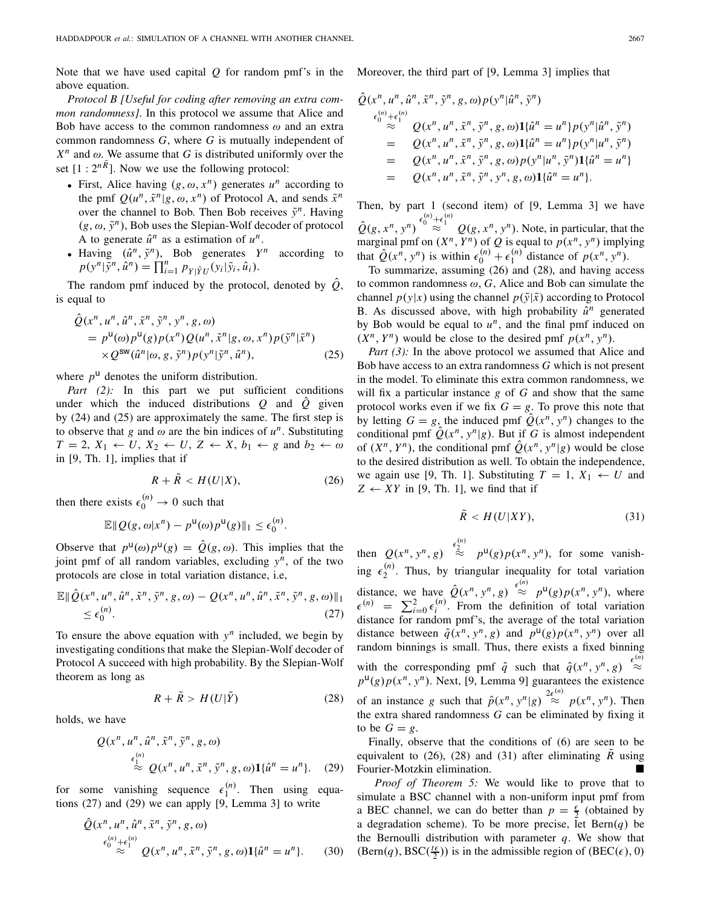Note that we have used capital *Q* for random pmf's in the above equation.

*Protocol B [Useful for coding after removing an extra common randomness]*. In this protocol we assume that Alice and Bob have access to the common randomness  $\omega$  and an extra common randomness *G*, where *G* is mutually independent of  $X^n$  and  $\omega$ . We assume that *G* is distributed uniformly over the set  $[1:2^{n\tilde{R}}]$ . Now we use the following protocol:

- First, Alice having  $(g, \omega, x^n)$  generates  $u^n$  according to the pmf  $Q(u^n, \tilde{x}^n | g, \omega, x^n)$  of Protocol A, and sends  $\tilde{x}^n$ over the channel to Bob. Then Bob receives  $\tilde{v}^n$ . Having  $(g, \omega, \tilde{y}^n)$ , Bob uses the Slepian-Wolf decoder of protocol A to generate  $\hat{u}^n$  as a estimation of  $u^n$ .
- Having  $(\hat{u}^n, \tilde{y}^n)$ , Bob generates  $Y^n$  according to  $p(y^n | \tilde{y}^n, \hat{u}^n) = \prod_{i=1}^n p_{Y | \tilde{Y} U}(y_i | \tilde{y}_i, \hat{u}_i).$

The random pmf induced by the protocol, denoted by  $\hat{Q}$ , is equal to

$$
\hat{Q}(x^n, u^n, \hat{u}^n, \tilde{x}^n, \tilde{y}^n, y^n, g, \omega)
$$
\n
$$
= p^{\mathsf{U}}(\omega) p^{\mathsf{U}}(g) p(x^n) Q(u^n, \tilde{x}^n | g, \omega, x^n) p(\tilde{y}^n | \tilde{x}^n)
$$
\n
$$
\times Q^{\mathsf{SW}}(\hat{u}^n | \omega, g, \tilde{y}^n) p(y^n | \tilde{y}^n, \hat{u}^n),
$$
\n(25)

where  $p^{\text{u}}$  denotes the uniform distribution.

Part (2): In this part we put sufficient conditions under which the induced distributions *Q* and *Q*ˆ given by (24) and (25) are approximately the same. The first step is to observe that *g* and  $\omega$  are the bin indices of  $u^n$ . Substituting  $T = 2$ ,  $X_1 \leftarrow U$ ,  $X_2 \leftarrow U$ ,  $Z \leftarrow X$ ,  $b_1 \leftarrow g$  and  $b_2 \leftarrow \omega$ in [9, Th. 1], implies that if

$$
R + \tilde{R} < H(U|X),\tag{26}
$$

then there exists  $\epsilon_0^{(n)} \to 0$  such that

$$
\mathbb{E} \|Q(g,\omega|x^n)-p^{\mathsf{U}}(\omega)p^{\mathsf{U}}(g)\|_1 \leq \epsilon_0^{(n)}.
$$

Observe that  $p^{\mu}(\omega)p^{\mu}(g) = \hat{Q}(g,\omega)$ . This implies that the joint pmf of all random variables, excluding *yn*, of the two protocols are close in total variation distance, i.e,

$$
\mathbb{E} \|\hat{Q}(x^n, u^n, \hat{u}^n, \tilde{x}^n, \tilde{y}^n, g, \omega) - Q(x^n, u^n, \hat{u}^n, \tilde{x}^n, \tilde{y}^n, g, \omega)\|_1
$$
  
\n
$$
\leq \epsilon_0^{(n)}.
$$
\n(27)

To ensure the above equation with  $y^n$  included, we begin by investigating conditions that make the Slepian-Wolf decoder of Protocol A succeed with high probability. By the Slepian-Wolf theorem as long as

$$
R + \tilde{R} > H(U|\tilde{Y})
$$
 (28)

holds, we have

$$
Q(x^n, u^n, \hat{u}^n, \tilde{x}^n, \tilde{y}^n, g, \omega)
$$
  
\n
$$
\stackrel{\epsilon_1^{(n)}}{\approx} Q(x^n, u^n, \tilde{x}^n, \tilde{y}^n, g, \omega) \mathbf{1} {\hat{u}^n = u^n}.
$$
 (29)

for some vanishing sequence  $\epsilon_1^{(n)}$ . Then using equations (27) and (29) we can apply [9, Lemma 3] to write

$$
\hat{Q}(x^n, u^n, \hat{u}^n, \tilde{x}^n, \tilde{y}^n, g, \omega)
$$
\n
$$
\epsilon_0^{(n)} + \epsilon_1^{(n)} \sum_{n=1}^{\infty} Q(x^n, u^n, \tilde{x}^n, \tilde{y}^n, g, \omega) \mathbf{1} \{\hat{u}^n = u^n\}. \tag{30}
$$

Moreover, the third part of [9, Lemma 3] implies that

$$
\hat{Q}(x^n, u^n, \hat{u}^n, \tilde{x}^n, \tilde{y}^n, g, \omega) p(y^n | \hat{u}^n, \tilde{y}^n) \n\begin{array}{l}\n\epsilon_0^{(n)} + \epsilon_1^{(n)} & Q(x^n, u^n, \tilde{x}^n, \tilde{y}^n, g, \omega) \mathbf{1} \{\hat{u}^n = u^n\} p(y^n | \hat{u}^n, \tilde{y}^n) \\
= Q(x^n, u^n, \tilde{x}^n, \tilde{y}^n, g, \omega) \mathbf{1} \{\hat{u}^n = u^n\} p(y^n | u^n, \tilde{y}^n) \\
= Q(x^n, u^n, \tilde{x}^n, \tilde{y}^n, g, \omega) p(y^n | u^n, \tilde{y}^n) \mathbf{1} \{\hat{u}^n = u^n\} \\
= Q(x^n, u^n, \tilde{x}^n, \tilde{y}^n, y^n, g, \omega) \mathbf{1} \{\hat{u}^n = u^n\}.\n\end{array}
$$

Then, by part 1 (second item) of [9, Lemma 3] we have  $\hat{Q}(g, x^n, y^n) \stackrel{\epsilon_0^{(n)} + \epsilon_1^{(n)}}{\approx} Q(g, x^n, y^n)$ . Note, in particular, that the marginal pmf on  $(X^n, Y^n)$  of  $Q$  is equal to  $p(x^n, y^n)$  implying that  $\hat{Q}(x^n, y^n)$  is within  $\epsilon_0^{(n)} + \epsilon_1^{(n)}$  distance of  $p(x^n, y^n)$ .

To summarize, assuming (26) and (28), and having access to common randomness  $\omega$ ,  $G$ , Alice and Bob can simulate the channel  $p(y|x)$  using the channel  $p(\tilde{y}|\tilde{x})$  according to Protocol B. As discussed above, with high probability  $\hat{u}^n$  generated by Bob would be equal to  $u^n$ , and the final pmf induced on  $(X^n, Y^n)$  would be close to the desired pmf  $p(x^n, y^n)$ .

*Part (3):* In the above protocol we assumed that Alice and Bob have access to an extra randomness *G* which is not present in the model. To eliminate this extra common randomness, we will fix a particular instance *g* of *G* and show that the same protocol works even if we fix  $G = g$ . To prove this note that by letting  $G = g$ , the induced pmf  $\hat{Q}(x^n, y^n)$  changes to the conditional pmf  $\hat{Q}(x^n, y^n | g)$ . But if *G* is almost independent of  $(X^n, Y^n)$ , the conditional pmf  $\hat{Q}(x^n, y^n | g)$  would be close to the desired distribution as well. To obtain the independence, we again use [9, Th. 1]. Substituting  $T = 1, X_1 \leftarrow U$  and  $Z \leftarrow XY$  in [9, Th. 1], we find that if

$$
\tilde{R} < H(U|XY),\tag{31}
$$

then  $Q(x^n, y^n, g) \stackrel{\epsilon_2^{(n)}}{\approx} p^{\mu}(g)p(x^n, y^n)$ , for some vanishing  $\epsilon_2^{(n)}$ . Thus, by triangular inequality for total variation distance, we have  $\hat{Q}(x^n, y^n, g) \stackrel{\epsilon^{(n)}}{\approx} p^{\mu}(g) p(x^n, y^n)$ , where  $\epsilon^{(n)} = \sum_{i=0}^{n} \epsilon_i^{(n)}$ . From the definition of total variation distance for random pmf's, the average of the total variation distance between  $\hat{q}(x^n, y^n, g)$  and  $p^{\mathsf{U}}(g)p(x^n, y^n)$  over all random binnings is small. Thus, there exists a fixed binning with the corresponding pmf  $\hat{q}$  such that  $\hat{q}(x^n, y^n, g) \stackrel{\epsilon^{(n)}}{\approx}$  $p^{\text{u}}(g)p(x^n, y^n)$ . Next, [9, Lemma 9] guarantees the existence of an instance *g* such that  $\hat{p}(x^n, y^n | g) \stackrel{2\epsilon^{(n)}}{\approx} p(x^n, y^n)$ . Then the extra shared randomness *G* can be eliminated by fixing it to be  $G = g$ .

Finally, observe that the conditions of (6) are seen to be equivalent to (26), (28) and (31) after eliminating  $\tilde{R}$  using Fourier-Motzkin elimination.

*Proof of Theorem 5:* We would like to prove that to simulate a BSC channel with a non-uniform input pmf from a BEC channel, we can do better than  $p = \frac{\epsilon}{2}$  (obtained by a degradation scheme). To be more precise, let  $Bern(q)$  be the Bernoulli distribution with parameter  $q$ . We show that  $(Bern(q), BSC(\frac{t\epsilon}{2}))$  is in the admissible region of  $(BEC(\epsilon), 0)$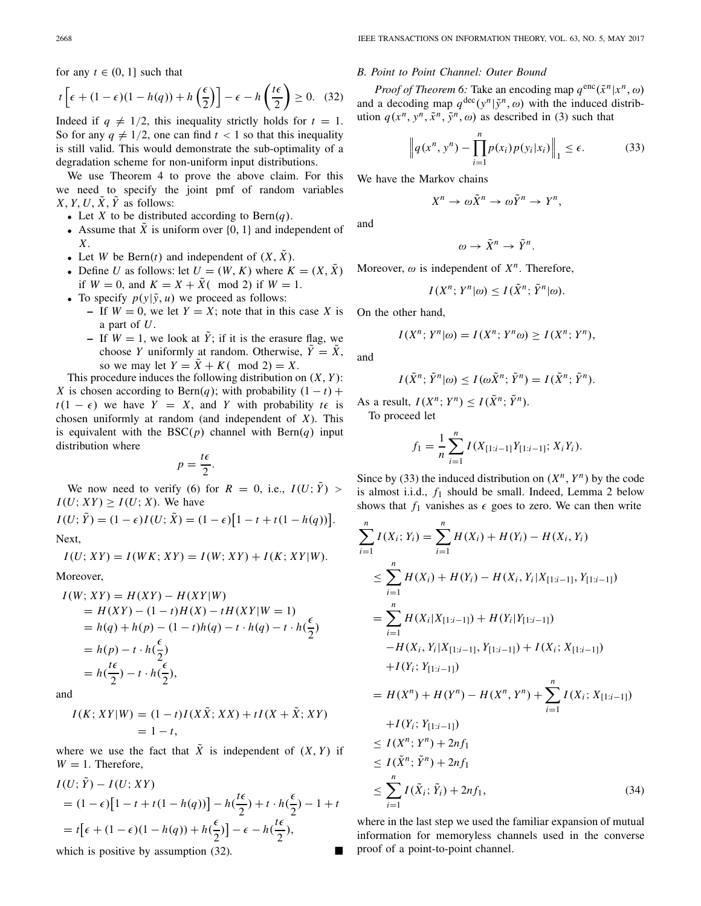for any  $t \in (0, 1]$  such that

$$
t\left[\epsilon + (1 - \epsilon)(1 - h(q)) + h\left(\frac{\epsilon}{2}\right)\right] - \epsilon - h\left(\frac{t\epsilon}{2}\right) \ge 0. \tag{32}
$$

Indeed if  $q \neq 1/2$ , this inequality strictly holds for  $t = 1$ . So for any  $q \neq 1/2$ , one can find  $t < 1$  so that this inequality is still valid. This would demonstrate the sub-optimality of a degradation scheme for non-uniform input distributions.

We use Theorem 4 to prove the above claim. For this we need to specify the joint pmf of random variables *X*, *Y*, *U*,  $\tilde{X}$ ,  $\tilde{Y}$  as follows:

- Let *X* to be distributed according to Bern $(q)$ .
- Assume that  $\tilde{X}$  is uniform over  $\{0, 1\}$  and independent of *X*.
- Let *W* be Bern(*t*) and independent of  $(X, \tilde{X})$ .
- Define *U* as follows: let  $U = (W, K)$  where  $K = (X, \tilde{X})$ if  $W = 0$ , and  $K = X + \tilde{X}$  (mod 2) if  $W = 1$ .
- To specify  $p(y|\tilde{y}, u)$  we proceed as follows:
	- $-$  If  $W = 0$ , we let  $Y = X$ ; note that in this case X is a part of *U*.
		- **–** If  $W = 1$ , we look at  $\tilde{Y}$ ; if it is the erasure flag, we choose *Y* uniformly at random. Otherwise,  $\tilde{Y} = \tilde{X}$ , so we may let  $Y = \tilde{X} + K$  (mod 2) = X.

This procedure induces the following distribution on (*X*, *Y* ): *X* is chosen according to Bern $(q)$ ; with probability  $(1 - t)$  +  $t(1 - \epsilon)$  we have  $Y = X$ , and *Y* with probability  $t \epsilon$  is chosen uniformly at random (and independent of *X*). This is equivalent with the  $BSC(p)$  channel with  $Bern(q)$  input distribution where

$$
p=\frac{t\epsilon}{2}.
$$

We now need to verify (6) for  $R = 0$ , i.e.,  $I(U; \tilde{Y}) >$  $I(U; XY) \geq I(U; X)$ . We have

$$
I(U; \tilde{Y}) = (1 - \epsilon)I(U; \tilde{X}) = (1 - \epsilon)[1 - t + t(1 - h(q))].
$$

Next,

 $I(U; XY) = I(WK; XY) = I(W; XY) + I(K; XY)W$ .

Moreover,

$$
I(W; XY) = H(XY) - H(XY|W)
$$
  
=  $H(XY) - (1 - t)H(X) - tH(XY|W = 1)$   
=  $h(q) + h(p) - (1 - t)h(q) - t \cdot h(q) - t \cdot h(\frac{\epsilon}{2})$   
=  $h(p) - t \cdot h(\frac{\epsilon}{2})$   
=  $h(\frac{t\epsilon}{2}) - t \cdot h(\frac{\epsilon}{2})$ ,

and

$$
I(K; XY|W) = (1 - t)I(X\tilde{X}; XX) + tI(X + \tilde{X}; XY)
$$
  
= 1 - t,

where we use the fact that  $\tilde{X}$  is independent of  $(X, Y)$  if  $W = 1$ . Therefore,

$$
I(U; \tilde{Y}) - I(U; XY)
$$
  
=  $(1 - \epsilon) [1 - t + t(1 - h(q))] - h(\frac{t\epsilon}{2}) + t \cdot h(\frac{\epsilon}{2}) - 1 + t$   
=  $t[\epsilon + (1 - \epsilon)(1 - h(q)) + h(\frac{\epsilon}{2})] - \epsilon - h(\frac{t\epsilon}{2})$ ,  
which is positive by assumption (32).

#### *B. Point to Point Channel: Outer Bound*

*Proof of Theorem 6:* Take an encoding map  $q^{\text{enc}}(\tilde{x}^n|x^n, \omega)$ and a decoding map  $q^{\text{dec}}(y^n | \tilde{y}^n, \omega)$  with the induced distribution  $q(x^n, y^n, \tilde{x}^n, \tilde{y}^n, \omega)$  as described in (3) such that

$$
\left\|q(x^n, y^n) - \prod_{i=1}^n p(x_i)p(y_i|x_i)\right\|_1 \le \epsilon.
$$
 (33)

We have the Markov chains

$$
X^n \to \omega \tilde{X}^n \to \omega \tilde{Y}^n \to Y^n,
$$

and

$$
\omega \to \tilde{X}^n \to \tilde{Y}^n.
$$

Moreover,  $\omega$  is independent of  $X^n$ . Therefore,

$$
I(X^n;Y^n|\omega) \leq I(\tilde{X}^n;\tilde{Y}^n|\omega).
$$

On the other hand,

$$
I(X^n; Y^n | \omega) = I(X^n; Y^n \omega) \ge I(X^n; Y^n),
$$

and

$$
I(\tilde{X}^n; \tilde{Y}^n | \omega) \leq I(\omega \tilde{X}^n; \tilde{Y}^n) = I(\tilde{X}^n; \tilde{Y}^n).
$$

As a result, 
$$
I(X^n; Y^n) \leq I(\tilde{X}^n; \tilde{Y}^n)
$$
.

To proceed let

$$
f_1 = \frac{1}{n} \sum_{i=1}^n I(X_{[1:i-1]}Y_{[1:i-1]}; X_iY_i).
$$

Since by (33) the induced distribution on  $(X^n, Y^n)$  by the code is almost i.i.d., *f*<sup>1</sup> should be small. Indeed, Lemma 2 below shows that  $f_1$  vanishes as  $\epsilon$  goes to zero. We can then write

$$
\sum_{i=1}^{n} I(X_i; Y_i) = \sum_{i=1}^{n} H(X_i) + H(Y_i) - H(X_i, Y_i)
$$
\n
$$
\leq \sum_{i=1}^{n} H(X_i) + H(Y_i) - H(X_i, Y_i | X_{[1:i-1]}, Y_{[1:i-1]})
$$
\n
$$
= \sum_{i=1}^{n} H(X_i | X_{[1:i-1]}) + H(Y_i | Y_{[1:i-1]})
$$
\n
$$
-H(X_i, Y_i | X_{[1:i-1]}, Y_{[1:i-1]}) + I(X_i; X_{[1:i-1]})
$$
\n
$$
+ I(Y_i; Y_{[1:i-1]})
$$
\n
$$
= H(X^n) + H(Y^n) - H(X^n, Y^n) + \sum_{i=1}^{n} I(X_i; X_{[1:i-1]})
$$
\n
$$
+ I(Y_i; Y_{[1:i-1]})
$$
\n
$$
\leq I(X^n; Y^n) + 2nf_1
$$
\n
$$
\leq \sum_{i=1}^{n} I(\tilde{X}_i; \tilde{Y}_i) + 2nf_1,
$$
\n(34)

where in the last step we used the familiar expansion of mutual information for memoryless channels used in the converse proof of a point-to-point channel.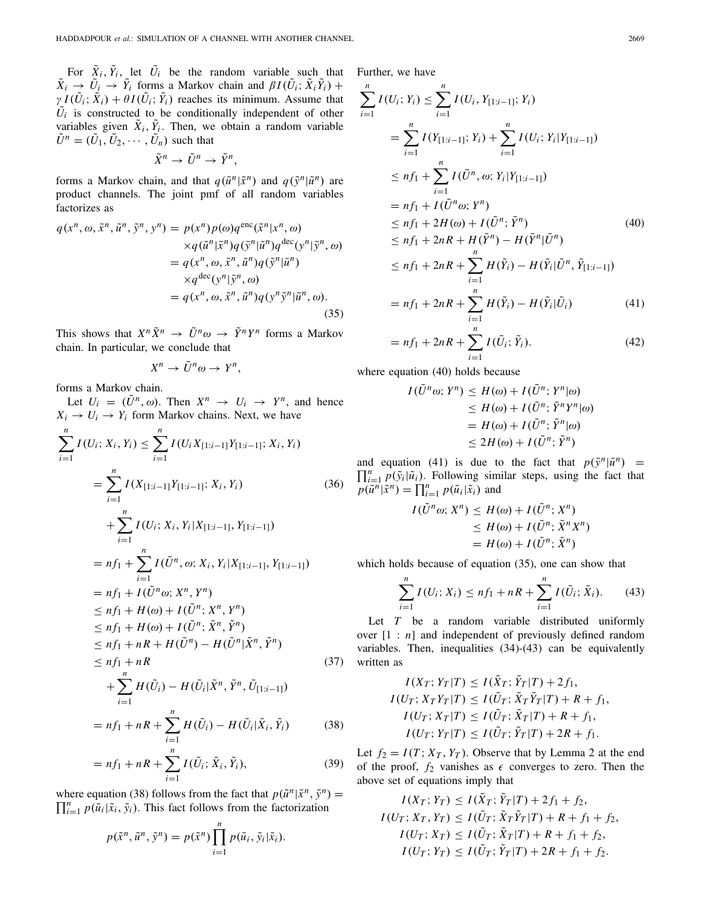For  $\tilde{X}_i$ ,  $\tilde{Y}_i$ , let  $\tilde{U}_i$  be the random variable such that  $\tilde{X}_i \rightarrow \tilde{U}_i \rightarrow \tilde{Y}_i$  forms a Markov chain and  $\beta I(\tilde{U}_i; \tilde{X}_i \tilde{Y}_i)$  +  $\gamma I(\tilde{U}_i; \tilde{X}_i) + \theta I(\tilde{U}_i; \tilde{Y}_i)$  reaches its minimum. Assume that  $\tilde{U}_i$  is constructed to be conditionally independent of other variables given  $\tilde{X}_i$ ,  $\tilde{Y}_i$ . Then, we obtain a random variable  $\tilde{U}^n = (\tilde{U}_1, \tilde{U}_2, \cdots, \tilde{U}_n)$  such that

$$
\tilde{X}^n \to \tilde{U}^n \to \tilde{Y}^n,
$$

forms a Markov chain, and that  $q(\tilde{u}^n | \tilde{x}^n)$  and  $q(\tilde{y}^n | \tilde{u}^n)$  are product channels. The joint pmf of all random variables factorizes as

$$
q(x^n, \omega, \tilde{x}^n, \tilde{u}^n, \tilde{y}^n, y^n) = p(x^n) p(\omega) q^{\text{enc}}(\tilde{x}^n | x^n, \omega)
$$
  
\n
$$
\times q(\tilde{u}^n | \tilde{x}^n) q(\tilde{y}^n | \tilde{u}^n) q^{\text{dec}}(y^n | \tilde{y}^n, \omega)
$$
  
\n
$$
= q(x^n, \omega, \tilde{x}^n, \tilde{u}^n) q(\tilde{y}^n | \tilde{u}^n)
$$
  
\n
$$
\times q^{\text{dec}}(y^n | \tilde{y}^n, \omega)
$$
  
\n
$$
= q(x^n, \omega, \tilde{x}^n, \tilde{u}^n) q(y^n \tilde{y}^n | \tilde{u}^n, \omega).
$$
  
\n(35)

This shows that  $X^n \tilde{X}^n \to \tilde{U}^n \omega \to \tilde{Y}^n Y^n$  forms a Markov chain. In particular, we conclude that

$$
X^n \to \tilde{U}^n \omega \to Y^n,
$$

forms a Markov chain.

Let  $U_i = (\tilde{U}^n, \omega)$ . Then  $X^n \rightarrow U_i \rightarrow Y^n$ , and hence  $X_i \rightarrow U_i \rightarrow Y_i$  form Markov chains. Next, we have

$$
\sum_{i=1}^{n} I(U_i; X_i, Y_i) \leq \sum_{i=1}^{n} I(U_i X_{[1:i-1]} Y_{[1:i-1]}; X_i, Y_i)
$$
\n
$$
= \sum_{i=1}^{n} I(X_{[1:i-1]} Y_{[1:i-1]}; X_i, Y_i) \qquad (36)
$$
\n
$$
+ \sum_{i=1}^{n} I(U_i; X_i, Y_i | X_{[1:i-1]}, Y_{[1:i-1]})
$$
\n
$$
= nf_1 + \sum_{i=1}^{n} I(\tilde{U}^n, \omega; X_i, Y_i | X_{[1:i-1]}, Y_{[1:i-1]})
$$
\n
$$
= nf_1 + I(\tilde{U}^n \omega; X^n, Y^n)
$$
\n
$$
\leq nf_1 + H(\omega) + I(\tilde{U}^n; \tilde{X}^n, \tilde{Y}^n)
$$
\n
$$
\leq nf_1 + nR + H(\tilde{U}^n) - H(\tilde{U}^n | \tilde{X}^n, \tilde{Y}^n)
$$
\n
$$
\leq nf_1 + nR
$$
\n
$$
+ \sum_{i=1}^{n} H(\tilde{U}_i) - H(\tilde{U}_i | \tilde{X}^n, \tilde{Y}^n, \tilde{U}_{[1:i-1]})
$$
\n
$$
= nf_1 + nR + \sum_{i=1}^{n} H(\tilde{U}_i) - H(\tilde{U}_i | \tilde{X}_i, \tilde{Y}_i) \qquad (38)
$$

$$
= nf_1 + nR + \sum_{i=1}^{n} I(\tilde{U}_i; \tilde{X}_i, \tilde{Y}_i),
$$
 (39)

where equation (38) follows from the fact that  $p(\tilde{u}^n|\tilde{x}^n, \tilde{y}^n) = \prod^n_{n=1}^n \tilde{u}(\tilde{u}^n|\tilde{x}^n, \tilde{y}^n)$ .  $\prod_{i=1}^{n} p(\tilde{u}_i | \tilde{x}_i, \tilde{y}_i)$ . This fact follows from the factorization

$$
p(\tilde{x}^n, \tilde{u}^n, \tilde{y}^n) = p(\tilde{x}^n) \prod_{i=1}^n p(\tilde{u}_i, \tilde{y}_i | \tilde{x}_i).
$$

Further, we have

$$
\sum_{i=1}^{n} I(U_i; Y_i) \leq \sum_{i=1}^{n} I(U_i, Y_{[1:i-1]}; Y_i)
$$
\n
$$
= \sum_{i=1}^{n} I(Y_{[1:i-1]}; Y_i) + \sum_{i=1}^{n} I(U_i; Y_i | Y_{[1:i-1]})
$$
\n
$$
\leq n f_1 + \sum_{i=1}^{n} I(\tilde{U}^n, \omega; Y_i | Y_{[1:i-1]})
$$
\n
$$
= n f_1 + I(\tilde{U}^n \omega; Y^n)
$$
\n
$$
\leq n f_1 + 2H(\omega) + I(\tilde{U}^n; \tilde{Y}^n)
$$
\n
$$
\leq n f_1 + 2nR + H(\tilde{Y}^n) - H(\tilde{Y}^n | \tilde{U}^n)
$$
\n
$$
\leq n f_1 + 2nR + \sum_{i=1}^{n} H(\tilde{Y}_i) - H(\tilde{Y}_i | \tilde{U}^n, \tilde{Y}_{[1:i-1]})
$$
\n
$$
= n f_1 + 2nR + \sum_{i=1}^{n} H(\tilde{Y}_i) - H(\tilde{Y}_i | \tilde{U}_i)
$$
\n(41)

$$
= nf_1 + 2nR + \sum_{i=1}^{n} I(\tilde{U}_i; \tilde{Y}_i).
$$
 (42)

where equation (40) holds because

$$
I(\tilde{U}^n \omega; Y^n) \le H(\omega) + I(\tilde{U}^n; Y^n | \omega)
$$
  
\n
$$
\le H(\omega) + I(\tilde{U}^n; \tilde{Y}^n Y^n | \omega)
$$
  
\n
$$
= H(\omega) + I(\tilde{U}^n; \tilde{Y}^n | \omega)
$$
  
\n
$$
\le 2H(\omega) + I(\tilde{U}^n; \tilde{Y}^n)
$$

and equation (41) is due to the fact that  $p(\tilde{y}^n|\tilde{u}^n) = \prod_{i=1}^n p(\tilde{y}_i|\tilde{u}^n)$ . Following similar staps, using the fact that  $\prod_{i=1}^{n} p(\tilde{y}_i | \tilde{u}_i)$ . Following similar steps, using the fact that  $p(\tilde{u}^n | \tilde{x}^n) = \prod_{i=1}^n p(\tilde{u}_i | \tilde{x}_i)$  and

$$
I(\tilde{U}^n \omega; X^n) \le H(\omega) + I(\tilde{U}^n; X^n)
$$
  
\n
$$
\le H(\omega) + I(\tilde{U}^n; \tilde{X}^n X^n)
$$
  
\n
$$
= H(\omega) + I(\tilde{U}^n; \tilde{X}^n)
$$

which holds because of equation (35), one can show that

$$
\sum_{i=1}^{n} I(U_i; X_i) \le n f_1 + nR + \sum_{i=1}^{n} I(\tilde{U}_i; \tilde{X}_i).
$$
 (43)

Let *T* be a random variable distributed uniformly over [1 : *n*] and independent of previously defined random variables. Then, inequalities (34)-(43) can be equivalently written as

$$
I(X_T; Y_T|T) \leq I(\tilde{X}_T; \tilde{Y}_T|T) + 2f_1,
$$
  
\n
$$
I(U_T; X_T Y_T|T) \leq I(\tilde{U}_T; \tilde{X}_T \tilde{Y}_T|T) + R + f_1,
$$
  
\n
$$
I(U_T; X_T|T) \leq I(\tilde{U}_T; \tilde{X}_T|T) + R + f_1,
$$
  
\n
$$
I(U_T; Y_T|T) \leq I(\tilde{U}_T; \tilde{Y}_T|T) + 2R + f_1.
$$

Let  $f_2 = I(T; X_T, Y_T)$ . Observe that by Lemma 2 at the end of the proof,  $f_2$  vanishes as  $\epsilon$  converges to zero. Then the above set of equations imply that

$$
I(X_T; Y_T) \leq I(\tilde{X}_T; \tilde{Y}_T | T) + 2f_1 + f_2,
$$
  
\n
$$
I(U_T; X_T, Y_T) \leq I(\tilde{U}_T; \tilde{X}_T \tilde{Y}_T | T) + R + f_1 + f_2,
$$
  
\n
$$
I(U_T; X_T) \leq I(\tilde{U}_T; \tilde{X}_T | T) + R + f_1 + f_2,
$$
  
\n
$$
I(U_T; Y_T) \leq I(\tilde{U}_T; \tilde{Y}_T | T) + 2R + f_1 + f_2.
$$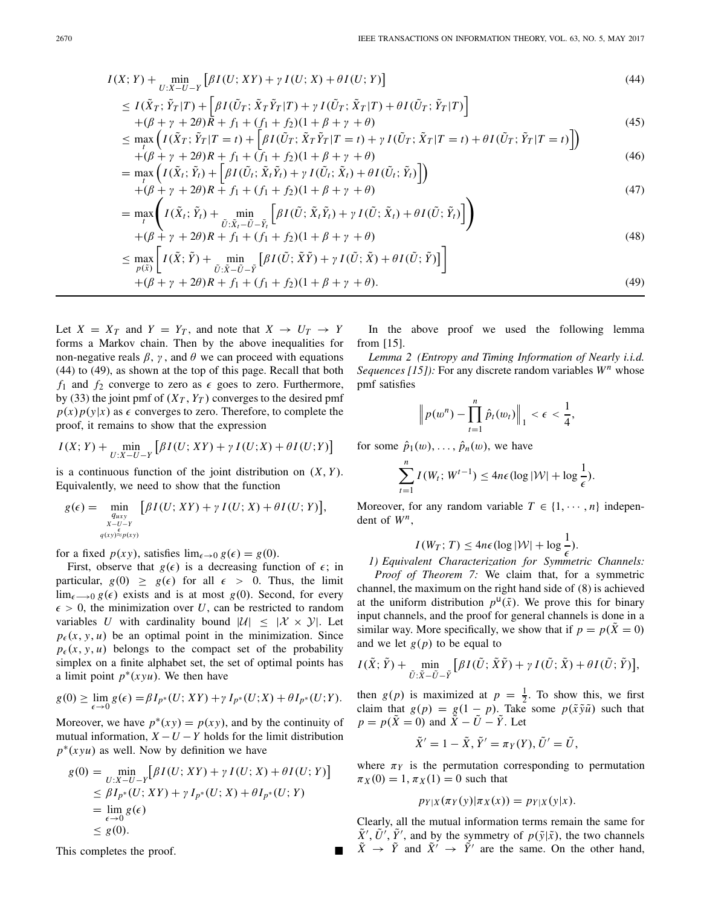$$
I(X;Y) + \min_{U:X-U-Y} \left[ \beta I(U;XY) + \gamma I(U;X) + \theta I(U;Y) \right]
$$
\n
$$
(44)
$$

$$
\leq I(\tilde{X}_T; \tilde{Y}_T|T) + \left[\beta I(\tilde{U}_T; \tilde{X}_T \tilde{Y}_T|T) + \gamma I(\tilde{U}_T; \tilde{X}_T|T) + \theta I(\tilde{U}_T; \tilde{Y}_T|T)\right] +(\beta + \gamma + 2\theta)R + f_1 + (f_1 + f_2)(1 + \beta + \gamma + \theta)
$$
\n(45)

$$
\leq \max_{t} \left( I(\tilde{X}_{T}; \tilde{Y}_{T}|T=t) + \left[ \beta I(\tilde{U}_{T}; \tilde{X}_{T}\tilde{Y}_{T}|T=t) + \gamma I(\tilde{U}_{T}; \tilde{X}_{T}|T=t) + \theta I(\tilde{U}_{T}; \tilde{Y}_{T}|T=t) \right] \right) + (\beta + \gamma + 2\theta)R + f_{1} + (f_{1} + f_{2})(1 + \beta + \gamma + \theta)
$$
\n(46)

$$
= \max_{t} \left( I(\tilde{X}_t; \tilde{Y}_t) + \left[ \beta I(\tilde{U}_t; \tilde{X}_t \tilde{Y}_t) + \gamma I(\tilde{U}_t; \tilde{X}_t) + \theta I(\tilde{U}_t; \tilde{Y}_t) \right] \right) + (\beta + \gamma + 2\theta)R + f_1 + (f_1 + f_2)(1 + \beta + \gamma + \theta)
$$
\n(47)

$$
= \max_{t} \left( I(\tilde{X}_{t}; \tilde{Y}_{t}) + \min_{\tilde{U}: \tilde{X}_{t} - \tilde{U} - \tilde{Y}_{t}} \left[ \beta I(\tilde{U}; \tilde{X}_{t} \tilde{Y}_{t}) + \gamma I(\tilde{U}; \tilde{X}_{t}) + \theta I(\tilde{U}; \tilde{Y}_{t}) \right] \right)
$$
  
+  $(\beta + \gamma + 2\theta)R + f_{1} + (f_{1} + f_{2})(1 + \beta + \gamma + \theta)$  (48)

$$
\leq \max_{p(\tilde{x})} \left[ I(\tilde{X}; \tilde{Y}) + \min_{\tilde{U}: \tilde{X} - \tilde{U} - \tilde{Y}} \left[ \beta I(\tilde{U}; \tilde{X}\tilde{Y}) + \gamma I(\tilde{U}; \tilde{X}) + \theta I(\tilde{U}; \tilde{Y}) \right] \right]
$$
\n(46)

$$
+(\beta + \gamma + 2\theta)R + f_1 + (f_1 + f_2)(1 + \beta + \gamma + \theta). \tag{49}
$$

Let  $X = X_T$  and  $Y = Y_T$ , and note that  $X \rightarrow U_T \rightarrow Y$ forms a Markov chain. Then by the above inequalities for non-negative reals  $\beta$ ,  $\gamma$ , and  $\theta$  we can proceed with equations (44) to (49), as shown at the top of this page. Recall that both  $f_1$  and  $f_2$  converge to zero as  $\epsilon$  goes to zero. Furthermore, by (33) the joint pmf of  $(X_T, Y_T)$  converges to the desired pmf  $p(x)p(y|x)$  as  $\epsilon$  converges to zero. Therefore, to complete the proof, it remains to show that the expression

$$
I(X; Y) + \min_{U:X-U-Y} \left[ \beta I(U; XY) + \gamma I(U; X) + \theta I(U; Y) \right]
$$

is a continuous function of the joint distribution on  $(X, Y)$ . Equivalently, we need to show that the function

$$
g(\epsilon) = \min_{\substack{q_{uxy} \\ X-U-Y \\ q(x)\stackrel{\epsilon}{\approx} p(xy)}} [\beta I(U;XY) + \gamma I(U;X) + \theta I(U;Y)],
$$

for a fixed  $p(xy)$ , satisfies  $\lim_{\epsilon \to 0} g(\epsilon) = g(0)$ .

First, observe that  $g(\epsilon)$  is a decreasing function of  $\epsilon$ ; in particular,  $g(0) \geq g(\epsilon)$  for all  $\epsilon > 0$ . Thus, the limit  $\lim_{\epsilon \to 0} g(\epsilon)$  exists and is at most *g*(0). Second, for every  $\epsilon > 0$ , the minimization over *U*, can be restricted to random variables *U* with cardinality bound  $|U| \leq |X \times Y|$ . Let  $p_{\epsilon}(x, y, u)$  be an optimal point in the minimization. Since  $p_{\epsilon}(x, y, u)$  belongs to the compact set of the probability simplex on a finite alphabet set, the set of optimal points has a limit point  $p^*(xyu)$ . We then have

$$
g(0) \geq \lim_{\epsilon \to 0} g(\epsilon) = \beta I_{p^*}(U; XY) + \gamma I_{p^*}(U; X) + \theta I_{p^*}(U; Y).
$$

Moreover, we have  $p^*(xy) = p(xy)$ , and by the continuity of mutual information,  $X - U - Y$  holds for the limit distribution *p*<sup>∗</sup>(*xyu*) as well. Now by definition we have

$$
g(0) = \min_{U:X-U-Y} \left[ \beta I(U;XY) + \gamma I(U;X) + \theta I(U;Y) \right]
$$
  
\n
$$
\leq \beta I_{p^*}(U;XY) + \gamma I_{p^*}(U;X) + \theta I_{p^*}(U;Y)
$$
  
\n
$$
= \lim_{\epsilon \to 0} g(\epsilon)
$$
  
\n
$$
\leq g(0).
$$

This completes the proof.

In the above proof we used the following lemma from [15].

*Lemma 2 (Entropy and Timing Information of Nearly i.i.d. Sequences [15]):* For any discrete random variables *W<sup>n</sup>* whose pmf satisfies

$$
\left\|p(w^n)-\prod_{t=1}^n\hat{p}_t(w_t)\right\|_1 < \epsilon < \frac{1}{4},
$$

for some  $\hat{p}_1(w), \ldots, \hat{p}_n(w)$ , we have

$$
\sum_{t=1}^n I(W_t; W^{t-1}) \le 4n\epsilon (\log |\mathcal{W}| + \log \frac{1}{\epsilon}).
$$

Moreover, for any random variable  $T \in \{1, \dots, n\}$  independent of *Wn*,

$$
I(W_T; T) \le 4n\epsilon (\log |\mathcal{W}| + \log \frac{1}{\epsilon}).
$$
  
*1) Equivalent Characterization for Symmetric Channels:*

*Proof of Theorem 7:* We claim that, for a symmetric channel, the maximum on the right hand side of (8) is achieved at the uniform distribution  $p^{\mathsf{U}}(\tilde{x})$ . We prove this for binary input channels, and the proof for general channels is done in a similar way. More specifically, we show that if  $p = p(\tilde{X} = 0)$ and we let  $g(p)$  to be equal to

$$
I(\tilde{X};\tilde{Y}) + \min_{\tilde{U}:\tilde{X}-\tilde{U}-\tilde{Y}} \left[ \beta I(\tilde{U};\tilde{X}\tilde{Y}) + \gamma I(\tilde{U};\tilde{X}) + \theta I(\tilde{U};\tilde{Y}) \right],
$$

then  $g(p)$  is maximized at  $p = \frac{1}{2}$ . To show this, we first claim that  $g(p) = g(1 - p)$ . Take some  $p(\tilde{x}\tilde{y}\tilde{u})$  such that  $p = p(\bar{X} = 0)$  and  $\bar{X} - \bar{U} - \bar{Y}$ . Let

$$
\tilde{X}' = 1 - \tilde{X}, \tilde{Y}' = \pi_Y(Y), \tilde{U}' = \tilde{U},
$$

where  $\pi_Y$  is the permutation corresponding to permutation  $\pi_X(0) = 1, \pi_X(1) = 0$  such that

$$
p_{Y|X}(\pi_Y(y)|\pi_X(x)) = p_{Y|X}(y|x).
$$

Clearly, all the mutual information terms remain the same for  $\tilde{X}', \tilde{U}', \tilde{Y}'$ , and by the symmetry of  $p(\tilde{y}|\tilde{x})$ , the two channels  $\tilde{X} \rightarrow \tilde{Y}$  and  $\tilde{X}' \rightarrow \tilde{Y}'$  are the same. On the other hand,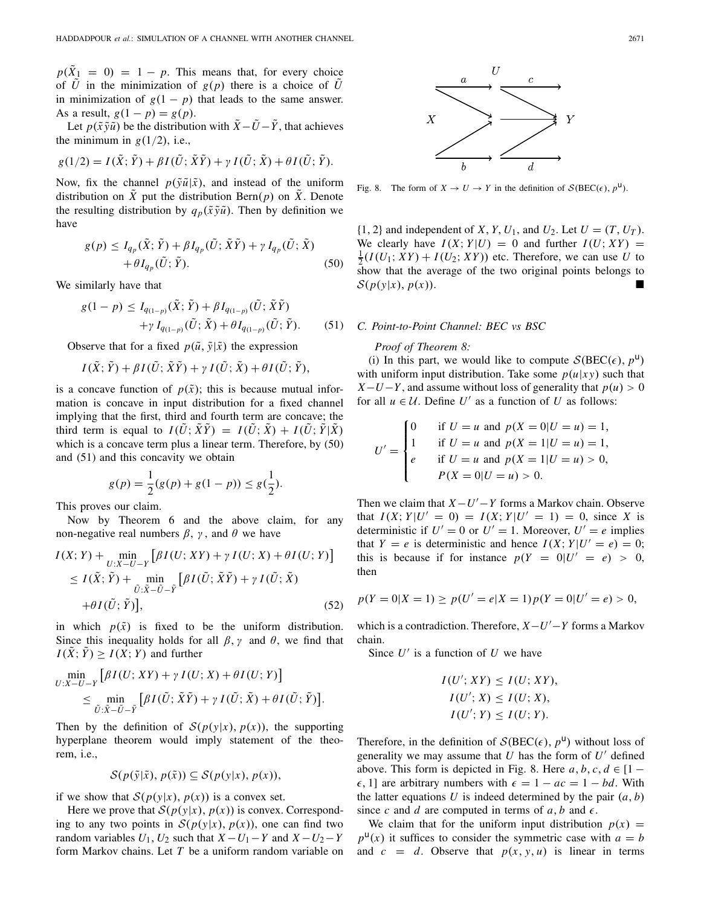$p(X_1 = 0) = 1 - p$ . This means that, for every choice of *U* in the minimization of  $g(p)$  there is a choice of *U* in minimization of  $g(1 - p)$  that leads to the same answer. As a result,  $g(1 - p) = g(p)$ .

Let  $p(\tilde{x}\tilde{y}\tilde{u})$  be the distribution with  $\tilde{X} - \tilde{U} - \tilde{Y}$ , that achieves the minimum in  $g(1/2)$ , i.e.,

$$
g(1/2) = I(\tilde{X}; \tilde{Y}) + \beta I(\tilde{U}; \tilde{X}\tilde{Y}) + \gamma I(\tilde{U}; \tilde{X}) + \theta I(\tilde{U}; \tilde{Y}).
$$

Now, fix the channel  $p(\tilde{y}\tilde{u}|\tilde{x})$ , and instead of the uniform distribution on *X* put the distribution Bern $(p)$  on *X*. Denote the resulting distribution by  $q_p(\tilde{x}\tilde{y}\tilde{u})$ . Then by definition we have

$$
g(p) \le I_{q_p}(\tilde{X}; \tilde{Y}) + \beta I_{q_p}(\tilde{U}; \tilde{X}\tilde{Y}) + \gamma I_{q_p}(\tilde{U}; \tilde{X})
$$
  
+  $\theta I_{q_p}(\tilde{U}; \tilde{Y}).$  (50)

We similarly have that

$$
g(1-p) \le I_{q(1-p)}(\tilde{X}; \tilde{Y}) + \beta I_{q(1-p)}(\tilde{U}; \tilde{X}\tilde{Y}) + \gamma I_{q(1-p)}(\tilde{U}; \tilde{X}) + \theta I_{q(1-p)}(\tilde{U}; \tilde{Y}).
$$
 (51)

Observe that for a fixed  $p(\tilde{u}, \tilde{y}|\tilde{x})$  the expression

$$
I(\tilde{X};\tilde{Y}) + \beta I(\tilde{U};\tilde{X}\tilde{Y}) + \gamma I(\tilde{U};\tilde{X}) + \theta I(\tilde{U};\tilde{Y}),
$$

is a concave function of  $p(\tilde{x})$ ; this is because mutual information is concave in input distribution for a fixed channel implying that the first, third and fourth term are concave; the third term is equal to  $I(\tilde{U}; \tilde{X}\tilde{Y}) = I(\tilde{U}; \tilde{X}) + I(\tilde{U}; \tilde{Y}|\tilde{X})$ which is a concave term plus a linear term. Therefore, by (50) and (51) and this concavity we obtain

$$
g(p) = \frac{1}{2}(g(p) + g(1-p)) \le g(\frac{1}{2}).
$$

This proves our claim.

Now by Theorem 6 and the above claim, for any non-negative real numbers  $β$ , γ, and  $θ$  we have

$$
I(X; Y) + \min_{U:X-U-Y} \left[ \beta I(U; XY) + \gamma I(U; X) + \theta I(U; Y) \right]
$$
  
\n
$$
\leq I(\tilde{X}; \tilde{Y}) + \min_{\tilde{U}: \tilde{X} - \tilde{U} - \tilde{Y}} \left[ \beta I(\tilde{U}; \tilde{X}\tilde{Y}) + \gamma I(\tilde{U}; \tilde{X}) \right]
$$
  
\n
$$
+ \theta I(\tilde{U}; \tilde{Y}) \Big], \tag{52}
$$

in which  $p(\tilde{x})$  is fixed to be the uniform distribution. Since this inequality holds for all  $\beta$ ,  $\gamma$  and  $\theta$ , we find that  $I(\tilde{X}; \tilde{Y}) \geq I(X; Y)$  and further

$$
\min_{U:X-U-Y} \left[ \beta I(U;XY) + \gamma I(U;X) + \theta I(U;Y) \right] \leq \min_{\tilde{U}:\tilde{X}-\tilde{U}-\tilde{Y}} \left[ \beta I(\tilde{U};\tilde{X}\tilde{Y}) + \gamma I(\tilde{U};\tilde{X}) + \theta I(\tilde{U};\tilde{Y}) \right].
$$

Then by the definition of  $S(p(y|x), p(x))$ , the supporting hyperplane theorem would imply statement of the theorem, i.e.,

$$
\mathcal{S}(p(\tilde{y}|\tilde{x}), p(\tilde{x})) \subseteq \mathcal{S}(p(y|x), p(x)),
$$

if we show that  $S(p(y|x), p(x))$  is a convex set.

Here we prove that  $S(p(y|x), p(x))$  is convex. Corresponding to any two points in  $S(p(y|x), p(x))$ , one can find two random variables  $U_1$ ,  $U_2$  such that  $X - U_1 - Y$  and  $X - U_2 - Y$ form Markov chains. Let *T* be a uniform random variable on



Fig. 8. The form of  $X \to U \to Y$  in the definition of  $S( BEC(\epsilon), p^{\mathsf{U}})$ .

 $\{1, 2\}$  and independent of *X*, *Y*,  $U_1$ , and  $U_2$ . Let  $U = (T, U_T)$ . We clearly have  $I(X; Y|U) = 0$  and further  $I(U; XY) =$  $\frac{1}{2}(I(U_1; XY) + I(U_2; XY))$  etc. Therefore, we can use *U* to show that the average of the two original points belongs to  $S(p(y|x), p(x))$ .

## *C. Point-to-Point Channel: BEC vs BSC*

#### *Proof of Theorem 8:*

(i) In this part, we would like to compute  $S( BEC(\epsilon), p^{\mathsf{U}})$ with uniform input distribution. Take some  $p(u|xy)$  such that  $X-U-Y$ , and assume without loss of generality that  $p(u) > 0$ for all  $u \in U$ . Define  $U'$  as a function of  $U$  as follows:

$$
U' = \begin{cases} 0 & \text{if } U = u \text{ and } p(X = 0 | U = u) = 1, \\ 1 & \text{if } U = u \text{ and } p(X = 1 | U = u) = 1, \\ e & \text{if } U = u \text{ and } p(X = 1 | U = u) > 0, \\ P(X = 0 | U = u) > 0. \end{cases}
$$

Then we claim that  $X-U'-Y$  forms a Markov chain. Observe that  $I(X; Y|U' = 0) = I(X; Y|U' = 1) = 0$ , since X is deterministic if  $U' = 0$  or  $U' = 1$ . Moreover,  $U' = e$  implies that  $Y = e$  is deterministic and hence  $I(X; Y | U' = e) = 0$ ; this is because if for instance  $p(Y = 0|U' = e) > 0$ , then

$$
p(Y = 0|X = 1) \ge p(U' = e|X = 1)p(Y = 0|U' = e) > 0,
$$

which is a contradiction. Therefore, *X*−*U* −*Y* forms a Markov chain.

Since  $U'$  is a function of  $U$  we have

$$
I(U'; XY) \leq I(U; XY),
$$
  
\n
$$
I(U'; X) \leq I(U; X),
$$
  
\n
$$
I(U'; Y) \leq I(U; Y).
$$

Therefore, in the definition of  $S( BEC(\epsilon), p^{\mathsf{u}})$  without loss of generality we may assume that  $U$  has the form of  $U'$  defined above. This form is depicted in Fig. 8. Here  $a, b, c, d \in [1 \epsilon$ , 1] are arbitrary numbers with  $\epsilon = 1 - ac = 1 - bd$ . With the latter equations *U* is indeed determined by the pair  $(a, b)$ since c and d are computed in terms of  $a, b$  and  $\epsilon$ .

We claim that for the uniform input distribution  $p(x) =$  $p^{\mu}(x)$  it suffices to consider the symmetric case with  $a = b$ and  $c = d$ . Observe that  $p(x, y, u)$  is linear in terms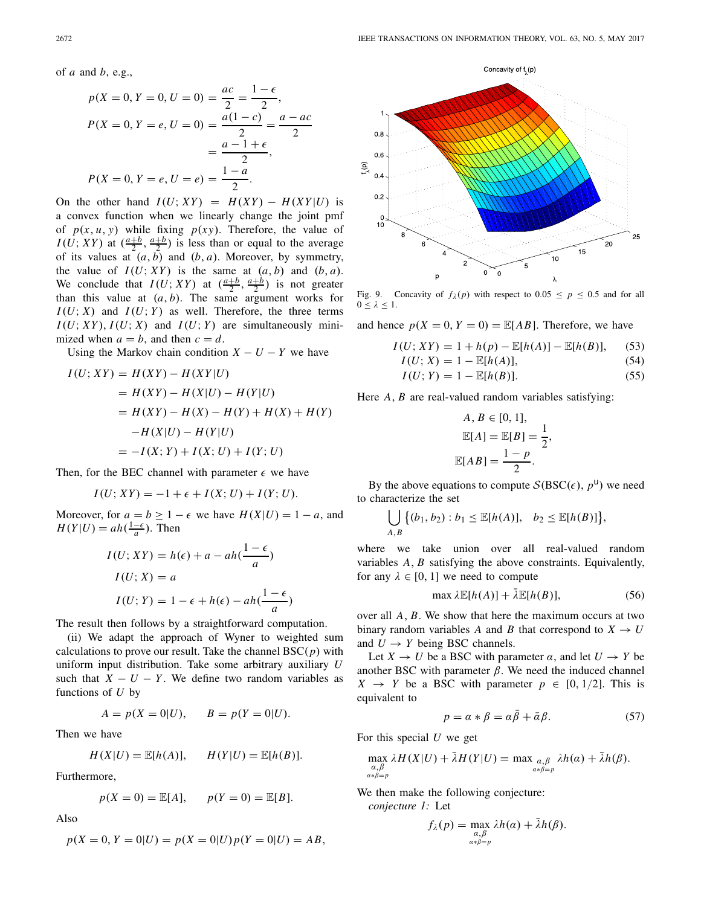of *a* and *b*, e.g.,

$$
p(X = 0, Y = 0, U = 0) = \frac{ac}{2} = \frac{1 - \epsilon}{2},
$$
  
\n
$$
P(X = 0, Y = e, U = 0) = \frac{a(1 - c)}{2} = \frac{a - ac}{2}
$$
  
\n
$$
= \frac{a - 1 + \epsilon}{2},
$$
  
\n
$$
P(X = 0, Y = e, U = e) = \frac{1 - a}{2}.
$$

On the other hand  $I(U; XY) = H(XY) - H(XY|U)$  is a convex function when we linearly change the joint pmf of  $p(x, u, y)$  while fixing  $p(xy)$ . Therefore, the value of  $I(U; XY)$  at  $\left(\frac{a+b}{2}, \frac{a+b}{2}\right)$  is less than or equal to the average of its values at  $(a, b)$  and  $(b, a)$ . Moreover, by symmetry, the value of  $I(U; XY)$  is the same at  $(a, b)$  and  $(b, a)$ . We conclude that  $I(U; XY)$  at  $\left(\frac{a+b}{2}, \frac{a+b}{2}\right)$  is not greater than this value at  $(a, b)$ . The same argument works for  $I(U; X)$  and  $I(U; Y)$  as well. Therefore, the three terms  $I(U; XY)$ ,  $I(U; X)$  and  $I(U; Y)$  are simultaneously minimized when  $a = b$ , and then  $c = d$ .

Using the Markov chain condition  $X - U - Y$  we have

$$
I(U; XY) = H(XY) - H(XY|U)
$$
  
=  $H(XY) - H(X|U) - H(Y|U)$   
=  $H(XY) - H(X) - H(Y) + H(X) + H(Y)$   
 $-H(X|U) - H(Y|U)$   
=  $-I(X; Y) + I(X; U) + I(Y; U)$ 

Then, for the BEC channel with parameter  $\epsilon$  we have

$$
I(U; XY) = -1 + \epsilon + I(X; U) + I(Y; U).
$$

Moreover, for  $a = b \ge 1 - \epsilon$  we have  $H(X|U) = 1 - a$ , and  $H(Y|U) = ah(\frac{1-\epsilon}{a})$ . Then

$$
I(U; XY) = h(\epsilon) + a - ah(\frac{1 - \epsilon}{a})
$$
  
\n
$$
I(U; X) = a
$$
  
\n
$$
I(U; Y) = 1 - \epsilon + h(\epsilon) - ah(\frac{1 - \epsilon}{a})
$$

The result then follows by a straightforward computation.

(ii) We adapt the approach of Wyner to weighted sum calculations to prove our result. Take the channel BSC(*p*) with uniform input distribution. Take some arbitrary auxiliary *U* such that  $X - U - Y$ . We define two random variables as functions of *U* by

$$
A = p(X = 0|U),
$$
  $B = p(Y = 0|U).$ 

Then we have

$$
H(X|U) = \mathbb{E}[h(A)], \qquad H(Y|U) = \mathbb{E}[h(B)].
$$

Furthermore,

$$
p(X = 0) = \mathbb{E}[A], \quad p(Y = 0) = \mathbb{E}[B].
$$

Also

$$
p(X = 0, Y = 0|U) = p(X = 0|U)p(Y = 0|U) = AB,
$$



Fig. 9. Concavity of  $f_{\lambda}(p)$  with respect to  $0.05 \le p \le 0.5$  and for all  $0 \leq \lambda \leq 1$ .

and hence  $p(X = 0, Y = 0) = \mathbb{E}[AB]$ . Therefore, we have

$$
I(U; XY) = 1 + h(p) - \mathbb{E}[h(A)] - \mathbb{E}[h(B)],
$$
 (53)

$$
I(U; X) = 1 - \mathbb{E}[h(A)], \qquad (54)
$$

$$
I(U;Y) = 1 - \mathbb{E}[h(B)].
$$
\n<sup>(55)</sup>

Here *A*, *B* are real-valued random variables satisfying:

$$
A, B \in [0, 1],
$$
  
\n
$$
\mathbb{E}[A] = \mathbb{E}[B] = \frac{1}{2},
$$
  
\n
$$
\mathbb{E}[AB] = \frac{1-p}{2}.
$$

By the above equations to compute  $S( BSC(\epsilon), p^{\mathsf{u}})$  we need to characterize the set

$$
\bigcup_{A,B}\big\{(b_1,b_2):b_1\leq \mathbb{E}[h(A)], b_2\leq \mathbb{E}[h(B)]\big\},\
$$

where we take union over all real-valued random variables *A*, *B* satisfying the above constraints. Equivalently, for any  $\lambda \in [0, 1]$  we need to compute

$$
\max \lambda \mathbb{E}[h(A)] + \bar{\lambda} \mathbb{E}[h(B)],\tag{56}
$$

over all *A*, *B*. We show that here the maximum occurs at two binary random variables *A* and *B* that correspond to  $X \rightarrow U$ and  $U \rightarrow Y$  being BSC channels.

Let  $X \to U$  be a BSC with parameter  $\alpha$ , and let  $U \to Y$  be another BSC with parameter  $β$ . We need the induced channel  $X \rightarrow Y$  be a BSC with parameter  $p \in [0, 1/2]$ . This is equivalent to

$$
p = \alpha * \beta = \alpha \bar{\beta} + \bar{\alpha} \beta. \tag{57}
$$

For this special *U* we get

$$
\max_{\substack{\alpha,\beta\\ \alpha*\beta=p}} \lambda H(X|U) + \bar{\lambda} H(Y|U) = \max_{\substack{\alpha,\beta\\ \alpha*\beta=p}} \lambda h(\alpha) + \bar{\lambda} h(\beta).
$$

We then make the following conjecture: *conjecture 1:* Let

$$
f_{\lambda}(p) = \max_{\substack{\alpha,\beta \\ \alpha \ast \beta = p}} \lambda h(\alpha) + \bar{\lambda} h(\beta).
$$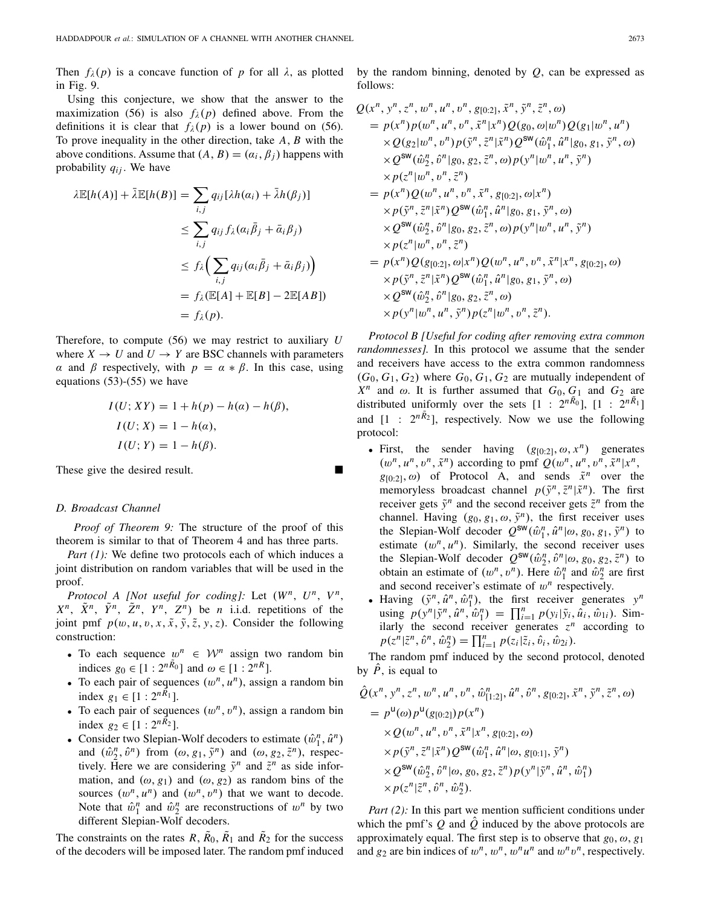Then  $f_\lambda(p)$  is a concave function of *p* for all  $\lambda$ , as plotted in Fig. 9.

Using this conjecture, we show that the answer to the maximization (56) is also  $f_{\lambda}(p)$  defined above. From the definitions it is clear that  $f_{\lambda}(p)$  is a lower bound on (56). To prove inequality in the other direction, take *A*, *B* with the above conditions. Assume that  $(A, B) = (\alpha_i, \beta_i)$  happens with probability *qij* . We have

$$
\lambda \mathbb{E}[h(A)] + \bar{\lambda} \mathbb{E}[h(B)] = \sum_{i,j} q_{ij} [\lambda h(\alpha_i) + \bar{\lambda} h(\beta_j)]
$$
  
\n
$$
\leq \sum_{i,j} q_{ij} f_{\lambda}(\alpha_i \bar{\beta}_j + \bar{\alpha}_i \beta_j)
$$
  
\n
$$
\leq f_{\lambda} \Big( \sum_{i,j} q_{ij} (\alpha_i \bar{\beta}_j + \bar{\alpha}_i \beta_j) \Big)
$$
  
\n
$$
= f_{\lambda} (\mathbb{E}[A] + \mathbb{E}[B] - 2\mathbb{E}[AB])
$$
  
\n
$$
= f_{\lambda}(p).
$$

Therefore, to compute (56) we may restrict to auxiliary *U* where  $X \to U$  and  $U \to Y$  are BSC channels with parameters α and β respectively, with *p* = α ∗ β. In this case, using equations  $(53)-(55)$  we have

$$
I(U; XY) = 1 + h(p) - h(a) - h(\beta),
$$
  
\n
$$
I(U; X) = 1 - h(a),
$$
  
\n
$$
I(U; Y) = 1 - h(\beta).
$$

These give the desired result.

## *D. Broadcast Channel*

*Proof of Theorem 9:* The structure of the proof of this theorem is similar to that of Theorem 4 and has three parts.

*Part (1):* We define two protocols each of which induces a joint distribution on random variables that will be used in the proof.

*Protocol A [Not useful for coding]:* Let  $(W^n, U^n, V^n)$ ,  $X^n$ ,  $\tilde{X}^n$ ,  $\tilde{Y}^n$ ,  $\tilde{Z}^n$ ,  $Y^n$ ,  $Z^n$ ) be *n* i.i.d. repetitions of the joint pmf  $p(w, u, v, x, \tilde{x}, \tilde{y}, \tilde{z}, y, z)$ . Consider the following construction:

- To each sequence  $w^n \in \mathcal{W}^n$  assign two random bin indices  $g_0 \in [1 : 2^{nR_0}]$  and  $\omega \in [1 : 2^{nR}]$ .
- To each pair of sequences  $(w^n, u^n)$ , assign a random bin index *g*<sub>1</sub> ∈ [1 :  $2^{nR_1}$ ].
- To each pair of sequences  $(w^n, v^n)$ , assign a random bin index *g*<sub>2</sub> ∈ [1 :  $2^{nR_2}$ ].
- Consider two Slepian-Wolf decoders to estimate  $(\hat{w}_1^n, \hat{u}^n)$ and  $(\hat{\omega}_2^n, \hat{\omega}^n)$  from  $(\omega, g_1, \tilde{y}^n)$  and  $(\omega, g_2, \tilde{z}^n)$ , respectively. Here we are considering  $\tilde{y}^n$  and  $\tilde{z}^n$  as side information, and  $(\omega, g_1)$  and  $(\omega, g_2)$  as random bins of the sources  $(w^n, u^n)$  and  $(w^n, v^n)$  that we want to decode. Note that  $\hat{w}_1^n$  and  $\hat{w}_2^n$  are reconstructions of  $w^n$  by two different Slepian-Wolf decoders.

The constraints on the rates  $R$ ,  $\bar{R}_0$ ,  $\bar{R}_1$  and  $\bar{R}_2$  for the success of the decoders will be imposed later. The random pmf induced by the random binning, denoted by *Q*, can be expressed as follows:

$$
Q(x^n, y^n, z^n, w^n, u^n, v^n, g_{[0:2]}, \tilde{x}^n, \tilde{y}^n, \tilde{z}^n, \omega)
$$
  
\n
$$
= p(x^n)p(w^n, u^n, v^n, \tilde{x}^n|x^n)Q(g_0, \omega|w^n)Q(g_1|w^n, u^n)
$$
  
\n
$$
\times Q(g_2|w^n, v^n)p(\tilde{y}^n, \tilde{z}^n|\tilde{x}^n)Q^{\text{sw}}(\hat{w}_1^n, \hat{u}^n|g_0, g_1, \tilde{y}^n, \omega)
$$
  
\n
$$
\times Q^{\text{sw}}(\hat{w}_2^n, \hat{v}^n|g_0, g_2, \tilde{z}^n, \omega)p(y^n|w^n, u^n, \tilde{y}^n)
$$
  
\n
$$
\times p(z^n|w^n, v^n, \tilde{z}^n)
$$
  
\n
$$
= p(x^n)Q(w^n, u^n, v^n, \tilde{x}^n, g_{[0:2]}, \omega|x^n)
$$
  
\n
$$
\times p(\tilde{y}^n, \tilde{z}^n|\tilde{x}^n)Q^{\text{sw}}(\hat{w}_1^n, \hat{u}^n|g_0, g_1, \tilde{y}^n, \omega)
$$
  
\n
$$
\times Q^{\text{sw}}(\hat{w}_2^n, \hat{v}^n|g_0, g_2, \tilde{z}^n, \omega)p(y^n|w^n, u^n, \tilde{y}^n)
$$
  
\n
$$
\times p(z^n|w^n, v^n, \tilde{z}^n)
$$
  
\n
$$
= p(x^n)Q(g_{[0:2]}, \omega|x^n)Q(w^n, u^n, v^n, \tilde{x}^n|x^n, g_{[0:2]}, \omega)
$$
  
\n
$$
\times p(\tilde{y}^n, \tilde{z}^n|\tilde{x}^n)Q^{\text{sw}}(\hat{w}_1^n, \hat{u}^n|g_0, g_1, \tilde{y}^n, \omega)
$$
  
\n
$$
\times Q^{\text{sw}}(\hat{w}_2^n, \hat{v}^n|g_0, g_2, \tilde{z}^n, \omega)
$$
  
\n
$$
\times p(y^n|w^n, u^n, \tilde{
$$

*Protocol B [Useful for coding after removing extra common randomnesses].* In this protocol we assume that the sender and receivers have access to the extra common randomness  $(G_0, G_1, G_2)$  where  $G_0, G_1, G_2$  are mutually independent of  $X^n$  and  $\omega$ . It is further assumed that  $G_0, G_1$  and  $G_2$  are distributed uniformly over the sets  $[1 : 2^{nR_0}]$ ,  $[1 : 2^{nR_1}]$ and  $[1 : 2^{nR_2}]$ , respectively. Now we use the following protocol:

- First, the sender having  $(g_{[0:2]}, \omega, x^n)$  generates  $(w^n, u^n, v^n, \tilde{x}^n)$  according to pmf  $Q(w^n, u^n, v^n, \tilde{x}^n|x^n,$  $g_{[0:2]}$ ,  $\omega$ ) of Protocol A, and sends  $\tilde{x}^n$  over the memoryless broadcast channel  $p(\tilde{y}^n, \tilde{z}^n | \tilde{x}^n)$ . The first receiver gets  $\tilde{y}^n$  and the second receiver gets  $\tilde{z}^n$  from the channel. Having  $(g_0, g_1, \omega, \tilde{y}^n)$ , the first receiver uses the Slepian-Wolf decoder  $Q^{\text{SW}}(\hat{w}_1^n, \hat{u}^n | \omega, g_0, g_1, \tilde{y}^n)$  to estimate  $(w^n, u^n)$ . Similarly, the second receiver uses the Slepian-Wolf decoder  $Q^{\text{sw}}(\hat{\omega}_2^n, \hat{\upsilon}^n | \omega, g_0, g_2, \tilde{z}^n)$  to obtain an estimate of  $(w^n, v^n)$ . Here  $\hat{w}_1^n$  and  $\hat{w}_2^n$  are first and second receiver's estimate of  $w^n$  respectively.
- Having  $(\tilde{y}^n, \hat{u}^n, \hat{w}^n)$ , the first receiver generates  $y^n$ using  $p(y^n | \tilde{y}^n, \hat{u}^n, \hat{w}_1^n) = \prod_{i=1}^n p(y_i | \tilde{y}_i, \hat{u}_i, \hat{w}_1)$ . Similarly the second receiver generates  $z^n$  according to  $p(z^n | \tilde{z}^n, \hat{v}^n, \hat{w}_2^n) = \prod_{i=1}^n p(z_i | \tilde{z}_i, \hat{v}_i, \hat{w}_{2i}).$

The random pmf induced by the second protocol, denoted by  $\ddot{P}$ , is equal to

$$
\hat{Q}(x^n, y^n, z^n, w^n, u^n, v^n, \hat{w}_{[1:2]}^n, \hat{u}^n, \hat{v}^n, g_{[0:2]}, \tilde{x}^n, \tilde{y}^n, \tilde{z}^n, \omega)
$$
\n
$$
= p^{\mathsf{U}}(\omega) p^{\mathsf{U}}(g_{[0:2]}) p(x^n)
$$
\n
$$
\times Q(w^n, u^n, v^n, \tilde{x}^n | x^n, g_{[0:2]}, \omega)
$$
\n
$$
\times p(\tilde{y}^n, \tilde{z}^n | \tilde{x}^n) Q^{\mathsf{SW}}(\hat{w}_1^n, \hat{u}^n | \omega, g_{[0:1]}, \tilde{y}^n)
$$
\n
$$
\times Q^{\mathsf{SW}}(\hat{w}_2^n, \hat{v}^n | \omega, g_0, g_2, \tilde{z}^n) p(y^n | \tilde{y}^n, \hat{u}^n, \hat{w}_1^n)
$$
\n
$$
\times p(z^n | \tilde{z}^n, \hat{v}^n, \hat{w}_2^n).
$$

*Part (2):* In this part we mention sufficient conditions under which the pmf's  $Q$  and  $\tilde{Q}$  induced by the above protocols are approximately equal. The first step is to observe that  $g_0, \omega, g_1$ and  $g_2$  are bin indices of  $w^n$ ,  $w^n$ ,  $w^n u^n$  and  $w^n v^n$ , respectively.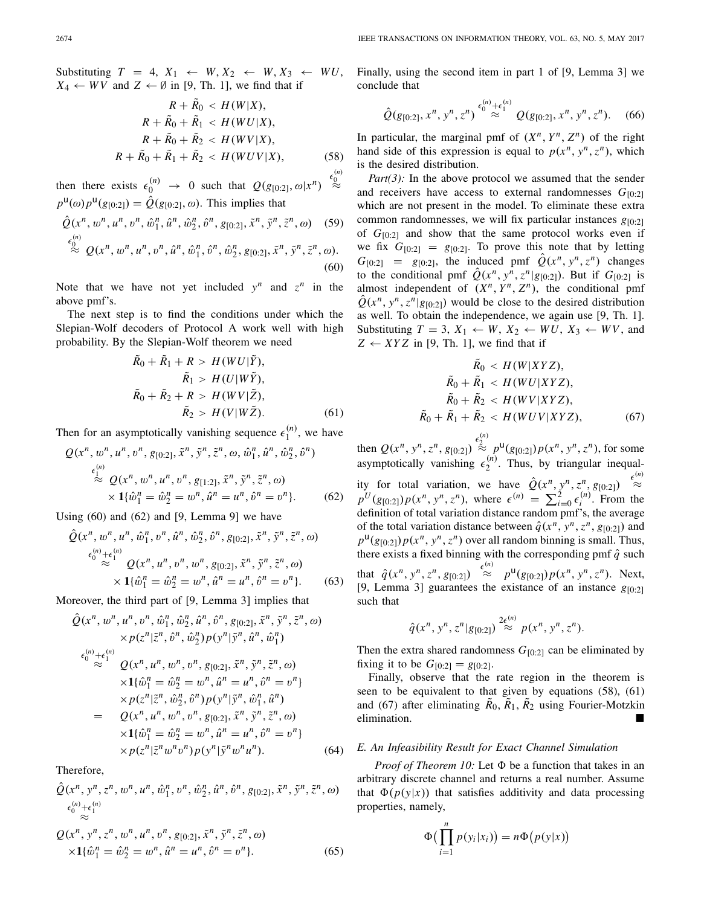Substituting  $T = 4$ ,  $X_1 \leftarrow W$ ,  $X_2 \leftarrow W$ ,  $X_3 \leftarrow WU$ ,  $X_4 \leftarrow WV$  and  $Z \leftarrow \emptyset$  in [9, Th. 1], we find that if

$$
R + \tilde{R}_0 < H(W|X),
$$
\n
$$
R + \tilde{R}_0 + \tilde{R}_1 < H(WU|X),
$$
\n
$$
R + \tilde{R}_0 + \tilde{R}_2 < H(WV|X),
$$
\n
$$
R + \tilde{R}_0 + \tilde{R}_1 + \tilde{R}_2 < H(WUV|X),
$$
\n(58)

(*n*)  $\overline{0}$ ≈

then there exists  $\epsilon_0^{(n)} \rightarrow 0$  such that  $Q(g_{[0:2]}, \omega | x^n)$  $p^{\mathsf{u}}(\omega)p^{\mathsf{u}}(g_{[0:2]}) = \hat{Q}(g_{[0:2]}, \omega)$ . This implies that

$$
\hat{Q}(x^n, w^n, u^n, v^n, \hat{w}_1^n, \hat{u}^n, \hat{w}_2^n, \hat{v}^n, g_{[0:2]}, \tilde{x}^n, \tilde{y}^n, \tilde{z}^n, \omega) \quad (59)
$$
\n
$$
\stackrel{\epsilon_0^{(n)}}{\approx} Q(x^n, w^n, u^n, v^n, \hat{u}^n, \hat{w}_1^n, \hat{v}^n, \hat{w}_2^n, g_{[0:2]}, \tilde{x}^n, \tilde{y}^n, \tilde{z}^n, \omega). \tag{60}
$$

Note that we have not yet included  $y^n$  and  $z^n$  in the above pmf's.

The next step is to find the conditions under which the Slepian-Wolf decoders of Protocol A work well with high probability. By the Slepian-Wolf theorem we need

$$
\tilde{R}_0 + \tilde{R}_1 + R > H(WU|\tilde{Y}),
$$
\n
$$
\tilde{R}_1 > H(U|W\tilde{Y}),
$$
\n
$$
\tilde{R}_0 + \tilde{R}_2 + R > H(WV|\tilde{Z}),
$$
\n
$$
\tilde{R}_2 > H(V|W\tilde{Z}).
$$
\n(61)

Then for an asymptotically vanishing sequence  $\epsilon_1^{(n)}$ , we have

$$
Q(x^n, w^n, u^n, v^n, g_{[0:2]}, \tilde{x}^n, \tilde{y}^n, \tilde{z}^n, \omega, \hat{w}_1^n, \hat{u}^n, \hat{w}_2^n, \hat{v}^n)
$$
  
\n
$$
\stackrel{\epsilon_1^{(n)}}{\approx} Q(x^n, w^n, u^n, v^n, g_{[1:2]}, \tilde{x}^n, \tilde{y}^n, \tilde{z}^n, \omega)
$$
  
\n
$$
\times \mathbf{1}\{\hat{w}_1^n = \hat{w}_2^n = w^n, \hat{u}^n = u^n, \hat{v}^n = v^n\}. \tag{62}
$$

Using (60) and (62) and [9, Lemma 9] we have

$$
\hat{Q}(x^n, w^n, u^n, \hat{w}_1^n, v^n, \hat{u}^n, \hat{w}_2^n, \hat{v}^n, g_{[0:2]}, \tilde{x}^n, \tilde{y}^n, \tilde{z}^n, \omega)
$$
\n
$$
\overset{\epsilon_0^{(n)} + \epsilon_1^{(n)}}{\approx} Q(x^n, u^n, v^n, w^n, g_{[0:2]}, \tilde{x}^n, \tilde{y}^n, \tilde{z}^n, \omega)
$$
\n
$$
\times \mathbf{1}\{\hat{w}_1^n = \hat{w}_2^n = w^n, \hat{u}^n = u^n, \hat{v}^n = v^n\}. \tag{63}
$$

Moreover, the third part of [9, Lemma 3] implies that

$$
\hat{Q}(x^n, w^n, u^n, v^n, \hat{w}_1^n, \hat{w}_2^n, \hat{u}^n, \hat{v}^n, g_{[0:2]}, \tilde{x}^n, \tilde{y}^n, \tilde{z}^n, \omega)
$$
\n
$$
\times p(z^n | \tilde{z}^n, \hat{v}^n, \hat{w}_2^n) p(y^n | \tilde{y}^n, \hat{u}^n, \hat{w}_1^n)
$$
\n
$$
\epsilon_0^{(n)} + \epsilon_1^{(n)}
$$
\n
$$
\approx Q(x^n, u^n, w^n, v^n, g_{[0:2]}, \tilde{x}^n, \tilde{y}^n, \tilde{z}^n, \omega)
$$
\n
$$
\times 1\{\hat{w}_1^n = \hat{w}_2^n = w^n, \hat{u}^n = u^n, \hat{v}^n = v^n\}
$$
\n
$$
\times p(z^n | \tilde{z}^n, \hat{w}_2^n, \hat{v}^n) p(y^n | \tilde{y}^n, \hat{w}_1^n, \hat{u}^n)
$$
\n
$$
= Q(x^n, u^n, w^n, v^n, g_{[0:2]}, \tilde{x}^n, \tilde{y}^n, \tilde{z}^n, \omega)
$$
\n
$$
\times 1\{\hat{w}_1^n = \hat{w}_2^n = w^n, \hat{u}^n = u^n, \hat{v}^n = v^n\}
$$
\n
$$
\times p(z^n | \tilde{z}^n w^n v^n) p(y^n | \tilde{y}^n w^n u^n).
$$
\n(64)

Therefore,

$$
\hat{Q}(x^n, y^n, z^n, w^n, u^n, \hat{w}_1^n, v^n, \hat{w}_2^n, \hat{u}^n, \hat{v}^n, g_{[0:2]}, \tilde{x}^n, \tilde{y}^n, \tilde{z}^n, \omega) \n\epsilon_0^{(n)} + \epsilon_1^{(n)} \approx
$$

$$
Q(x^n, y^n, z^n, w^n, u^n, v^n, g_{[0:2]}, \tilde{x}^n, \tilde{y}^n, \tilde{z}^n, \omega)
$$
  
 
$$
\times 1\{\hat{w}_1^n = \hat{w}_2^n = w^n, \hat{u}^n = u^n, \hat{v}^n = v^n\}. \tag{65}
$$

Finally, using the second item in part 1 of [9, Lemma 3] we conclude that

$$
\hat{Q}(g_{[0:2]}, x^n, y^n, z^n) \stackrel{\epsilon_0^{(n)} + \epsilon_1^{(n)}}{\approx} Q(g_{[0:2]}, x^n, y^n, z^n). \quad (66)
$$

In particular, the marginal pmf of  $(X^n, Y^n, Z^n)$  of the right hand side of this expression is equal to  $p(x^n, y^n, z^n)$ , which is the desired distribution.

*Part(3):* In the above protocol we assumed that the sender and receivers have access to external randomnesses  $G_{[0,2]}$ which are not present in the model. To eliminate these extra common randomnesses, we will fix particular instances  $g_{[0:2]}$ of  $G_{[0:2]}$  and show that the same protocol works even if we fix  $G_{[0:2]} = g_{[0:2]}$ . To prove this note that by letting  $G_{[0:2]}$  =  $g_{[0:2]}$ , the induced pmf  $\hat{Q}(x^n, y^n, z^n)$  changes to the conditional pmf  $\hat{Q}(x^n, y^n, z^n | g_{[0:2]})$ . But if  $G_{[0:2]}$  is almost independent of  $(X^n, Y^n, Z^n)$ , the conditional pmf  $\hat{Q}(x^n, y^n, z^n | g_{[0:2]})$  would be close to the desired distribution as well. To obtain the independence, we again use [9, Th. 1]. Substituting  $T = 3$ ,  $X_1 \leftarrow W$ ,  $X_2 \leftarrow WU$ ,  $X_3 \leftarrow WV$ , and  $Z \leftarrow XYZ$  in [9, Th. 1], we find that if

$$
\tilde{R}_0 < H(W|XYZ),
$$
\n
$$
\tilde{R}_0 + \tilde{R}_1 < H(WU|XYZ),
$$
\n
$$
\tilde{R}_0 + \tilde{R}_2 < H(WV|XYZ),
$$
\n
$$
\tilde{R}_0 + \tilde{R}_1 + \tilde{R}_2 < H(WUV|XYZ),
$$
\n
$$
(67)
$$

then  $Q(x^n, y^n, z^n, g_{[0:2]}) \stackrel{\epsilon_2^{(n)}}{\approx} p^{\mathsf{u}}(g_{[0:2]}) p(x^n, y^n, z^n)$ , for some asymptotically vanishing  $\epsilon_2^{(n)}$ . Thus, by triangular inequality for total variation, we have  $\hat{Q}(x^n, y^n, z^n, g_{[0:2]}) \stackrel{\epsilon^{(n)}}{\approx}$  $p^U(g_{[0:2]})p(x^n, y^n, z^n)$ , where  $\epsilon^{(n)} = \sum_{i=0}^2 \epsilon_i^{(n)}$ . From the definition of total variation distance random pmf's, the average of the total variation distance between  $\hat{q}(x^n, y^n, z^n, g_{[0:2]})$  and  $p^{\mathsf{u}}(g_{[0:2]})p(x^n, y^n, z^n)$  over all random binning is small. Thus, there exists a fixed binning with the corresponding pmf  $\hat{q}$  such that  $\hat{q}(x^n, y^n, z^n, g_{[0:2]}) \stackrel{\epsilon^{(n)}}{\approx} p^{\mu}(g_{[0:2]}) p(x^n, y^n, z^n)$ . Next, [9, Lemma 3] guarantees the existance of an instance *g*[0:2] such that

$$
\hat{q}(x^n, y^n, z^n | g_{[0:2]}) \stackrel{2\epsilon^{(n)}}{\approx} p(x^n, y^n, z^n).
$$

Then the extra shared randomness  $G_{[0:2]}$  can be eliminated by fixing it to be  $G_{[0:2]} = g_{[0:2]}$ .

Finally, observe that the rate region in the theorem is seen to be equivalent to that given by equations (58), (61) and (67) after eliminating  $\tilde{R}_0$ ,  $\tilde{R}_1$ ,  $\tilde{R}_2$  using Fourier-Motzkin elimination.

## *E. An Infeasibility Result for Exact Channel Simulation*

*Proof of Theorem 10:* Let  $\Phi$  be a function that takes in an arbitrary discrete channel and returns a real number. Assume that  $\Phi(p(y|x))$  that satisfies additivity and data processing properties, namely,

$$
\Phi\big(\prod_{i=1}^n p(y_i|x_i)\big) = n\Phi\big(p(y|x)\big)
$$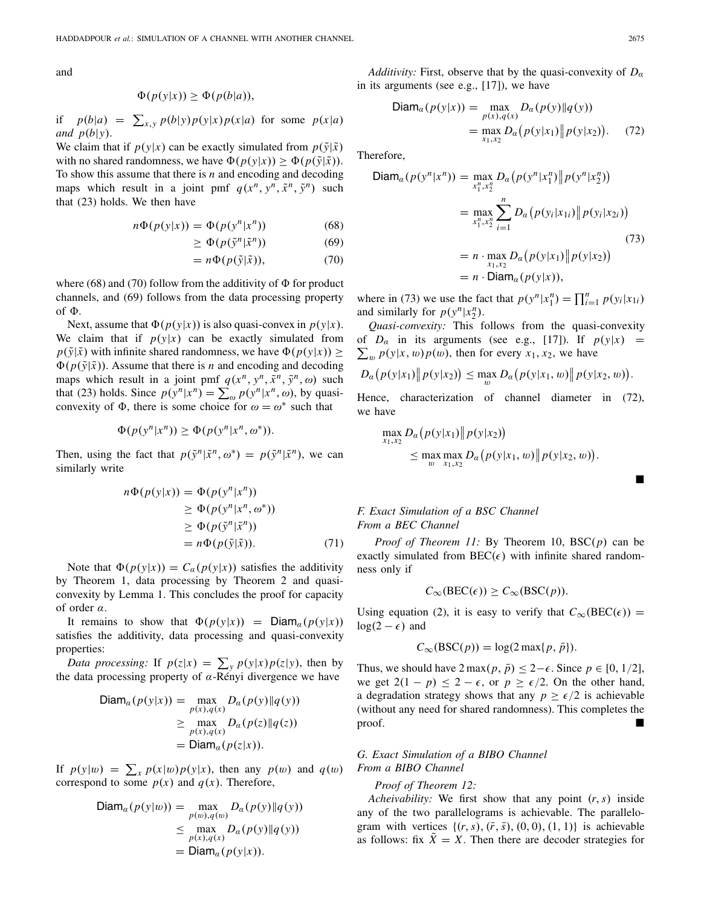and

$$
\Phi(p(y|x)) \ge \Phi(p(b|a)),
$$

if  $p(b|a) = \sum_{x,y} p(b|y)p(y|x)p(x|a)$  for some  $p(x|a)$ *and*  $p(b|y)$ .

We claim that if  $p(y|x)$  can be exactly simulated from  $p(\tilde{y}|\tilde{x})$ with no shared randomness, we have  $\Phi(p(y|x)) \ge \Phi(p(\tilde{y}|\tilde{x}))$ . To show this assume that there is *n* and encoding and decoding maps which result in a joint pmf  $q(x^n, y^n, \tilde{x}^n, \tilde{y}^n)$  such that (23) holds. We then have

$$
n\Phi(p(y|x)) = \Phi(p(y^n|x^n))\tag{68}
$$

$$
\geq \Phi(p(\tilde{y}^n|\tilde{x}^n))\tag{69}
$$

$$
= n\Phi(p(\tilde{y}|\tilde{x})), \tag{70}
$$

where  $(68)$  and  $(70)$  follow from the additivity of  $\Phi$  for product channels, and (69) follows from the data processing property of  $\Phi$ .

Next, assume that  $\Phi(p(y|x))$  is also quasi-convex in  $p(y|x)$ . We claim that if  $p(y|x)$  can be exactly simulated from  $p(\tilde{y}|\tilde{x})$  with infinite shared randomness, we have  $\Phi(p(y|x)) \ge$  $\Phi(p(\tilde{y}|\tilde{x}))$ . Assume that there is *n* and encoding and decoding maps which result in a joint pmf  $q(x^n, y^n, \tilde{x}^n, \tilde{y}^n, \omega)$  such that (23) holds. Since  $p(y^n|x^n) = \sum_{\omega} p(y^n|x^n, \omega)$ , by quasiconvexity of  $\Phi$ , there is some choice for  $\omega = \omega^*$  such that

$$
\Phi(p(y^n|x^n)) \ge \Phi(p(y^n|x^n, \omega^*)).
$$

Then, using the fact that  $p(\tilde{y}^n | \tilde{x}^n, \omega^*) = p(\tilde{y}^n | \tilde{x}^n)$ , we can similarly write

$$
n\Phi(p(y|x)) = \Phi(p(y^n|x^n))
$$
  
\n
$$
\geq \Phi(p(y^n|x^n, \omega^*))
$$
  
\n
$$
\geq \Phi(p(\tilde{y}^n|\tilde{x}^n))
$$
  
\n
$$
= n\Phi(p(\tilde{y}|\tilde{x})).
$$
\n(71)

Note that  $\Phi(p(y|x)) = C_a(p(y|x))$  satisfies the additivity by Theorem 1, data processing by Theorem 2 and quasiconvexity by Lemma 1. This concludes the proof for capacity of order  $\alpha$ .

It remains to show that  $\Phi(p(y|x)) = \text{Diam}_{\alpha}(p(y|x))$ satisfies the additivity, data processing and quasi-convexity properties:

*Data processing:* If  $p(z|x) = \sum_{y} p(y|x)p(z|y)$ , then by the data processing property of  $\alpha$ -Rényi divergence we have

$$
\begin{aligned} \textsf{Diam}_{\alpha}(p(y|x)) &= \max_{p(x), q(x)} D_{\alpha}(p(y) \| q(y)) \\ &\geq \max_{p(x), q(x)} D_{\alpha}(p(z) \| q(z)) \\ &= \textsf{Diam}_{\alpha}(p(z|x)). \end{aligned}
$$

If  $p(y|w) = \sum_{x} p(x|w)p(y|x)$ , then any  $p(w)$  and  $q(w)$ correspond to some  $p(x)$  and  $q(x)$ . Therefore,

$$
\begin{aligned} \textsf{Diam}_\alpha(p(y|w)) &= \max_{p(w), q(w)} D_\alpha(p(y) \| q(y)) \\ &\leq \max_{p(x), q(x)} D_\alpha(p(y) \| q(y)) \\ &= \textsf{Diam}_\alpha(p(y|x)). \end{aligned}
$$

*Additivity:* First, observe that by the quasi-convexity of  $D_{\alpha}$ in its arguments (see e.g., [17]), we have

$$
\text{Diam}_a(p(y|x)) = \max_{p(x), q(x)} D_a(p(y) \| q(y))
$$
  
= 
$$
\max_{x_1, x_2} D_a(p(y|x_1) \| p(y|x_2)).
$$
 (72)

Therefore,

$$
\begin{split} \textsf{Diam}_{\alpha}(p(y^n|x^n)) &= \max_{x_1^n, x_2^n} D_{\alpha}\big(p(y^n|x_1^n)\big\|p(y^n|x_2^n)\big) \\ &= \max_{x_1^n, x_2^n} \sum_{i=1}^n D_{\alpha}\big(p(y_i|x_{1i})\big\|p(y_i|x_{2i})\big) \\ &= n \cdot \max_{x_1, x_2} D_{\alpha}\big(p(y|x_1)\big\|p(y|x_2)\big) \\ &= n \cdot \textsf{Diam}_{\alpha}(p(y|x)), \end{split} \tag{73}
$$

where in (73) we use the fact that  $p(y^n|x_1^n) = \prod_{i=1}^n p(y_i|x_{1i})$ and similarly for  $p(y^n|x_2^n)$ .

*Quasi-convexity:* This follows from the quasi-convexity  $\sum_{w} p(y|x, w)p(w)$ , then for every  $x_1, x_2$ , we have of  $D_{\alpha}$  in its arguments (see e.g., [17]). If  $p(y|x)$  =

$$
D_{\alpha}(p(y|x_1)\Vert p(y|x_2)) \leq \max_{w} D_{\alpha}(p(y|x_1,w)\Vert p(y|x_2,w)).
$$

Hence, characterization of channel diameter in (72), we have

$$
\max_{x_1, x_2} D_{\alpha}(p(y|x_1) \| p(y|x_2))
$$
  
\$\leq\$ max max max\_{w}  $D_{\alpha}(p(y|x_1, w) \| p(y|x_2, w)).$ 

*F. Exact Simulation of a BSC Channel From a BEC Channel*

*Proof of Theorem 11:* By Theorem 10, BSC(*p*) can be exactly simulated from  $BEC(\epsilon)$  with infinite shared randomness only if

$$
C_{\infty}(\text{BEC}(\epsilon)) \ge C_{\infty}(\text{BSC}(p)).
$$

Using equation (2), it is easy to verify that  $C_{\infty}(\text{BEC}(\epsilon)) =$  $log(2 - \epsilon)$  and

$$
C_{\infty}(\text{BSC}(p)) = \log(2 \max\{p, \bar{p}\}).
$$

Thus, we should have  $2 \max(p, \bar{p}) \leq 2 - \epsilon$ . Since  $p \in [0, 1/2]$ , we get  $2(1 - p) \le 2 - \epsilon$ , or  $p \ge \epsilon/2$ . On the other hand, a degradation strategy shows that any  $p \geq \epsilon/2$  is achievable (without any need for shared randomness). This completes the proof.

*G. Exact Simulation of a BIBO Channel From a BIBO Channel*

#### *Proof of Theorem 12:*

*Acheivability:* We first show that any point (*r*,*s*) inside any of the two parallelograms is achievable. The parallelogram with vertices  $\{(r, s), (\bar{r}, \bar{s}), (0, 0), (1, 1)\}\$ is achievable as follows: fix  $\overline{X} = X$ . Then there are decoder strategies for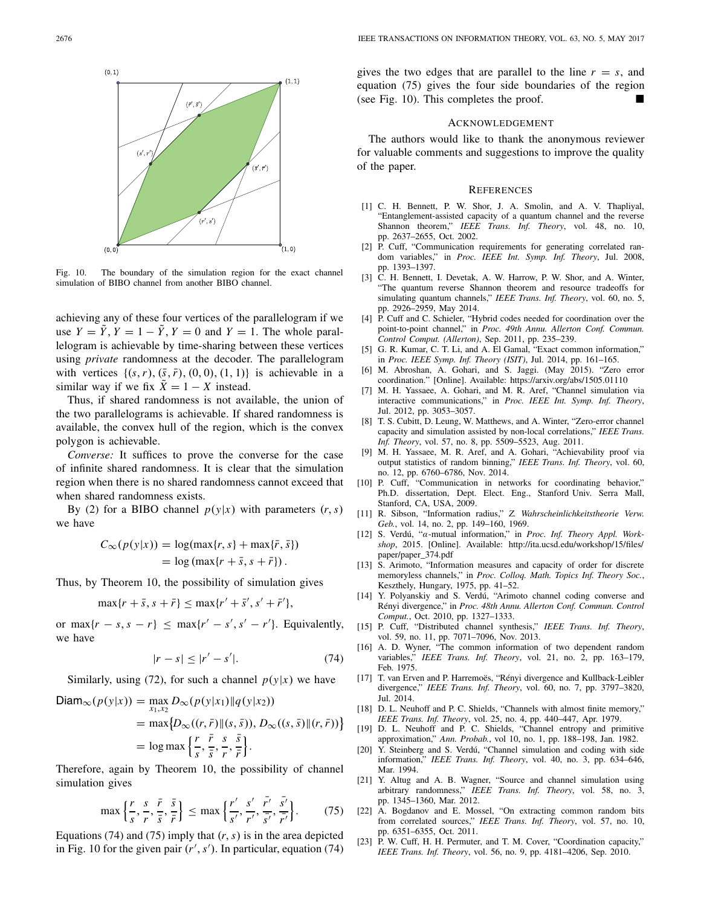

Fig. 10. The boundary of the simulation region for the exact channel simulation of BIBO channel from another BIBO channel.

achieving any of these four vertices of the parallelogram if we use  $Y = \tilde{Y}$ ,  $Y = 1 - \tilde{Y}$ ,  $Y = 0$  and  $Y = 1$ . The whole parallelogram is achievable by time-sharing between these vertices using *private* randomness at the decoder. The parallelogram with vertices  $\{(s, r), (\bar{s}, \bar{r}), (0, 0), (1, 1)\}$  is achievable in a similar way if we fix  $\overline{X} = 1 - X$  instead.

Thus, if shared randomness is not available, the union of the two parallelograms is achievable. If shared randomness is available, the convex hull of the region, which is the convex polygon is achievable.

*Converse:* It suffices to prove the converse for the case of infinite shared randomness. It is clear that the simulation region when there is no shared randomness cannot exceed that when shared randomness exists.

By (2) for a BIBO channel  $p(y|x)$  with parameters  $(r, s)$ we have

$$
C_{\infty}(p(y|x)) = \log(\max\{r, s\} + \max\{\bar{r}, \bar{s}\})
$$
  
= log (max{ $r + \bar{s}, s + \bar{r}$ }).

Thus, by Theorem 10, the possibility of simulation gives

$$
\max\{r + \bar{s}, s + \bar{r}\} \le \max\{r' + \bar{s}', s' + \bar{r}'\},\
$$

or  $\max\{r - s, s - r\} \leq \max\{r' - s', s' - r'\}.$  Equivalently, we have

$$
|r - s| \le |r' - s'|.
$$
 (74)

Similarly, using (72), for such a channel  $p(y|x)$  we have

$$
\begin{aligned} \text{Diam}_{\infty}(p(y|x)) &= \max_{x_1, x_2} D_{\infty}(p(y|x_1) \| q(y|x_2)) \\ &= \max \{ D_{\infty}((r, \bar{r}) \| (s, \bar{s})), D_{\infty}((s, \bar{s}) \| (r, \bar{r})) \} \\ &= \log \max \left\{ \frac{r}{s}, \frac{\bar{r}}{\bar{s}}, \frac{s}{r}, \frac{\bar{s}}{r} \right\}. \end{aligned}
$$

Therefore, again by Theorem 10, the possibility of channel simulation gives

$$
\max\left\{\frac{r}{s},\frac{s}{r},\frac{\bar{r}}{\bar{s}},\frac{\bar{s}}{\bar{r}}\right\} \le \max\left\{\frac{r'}{s'},\frac{s'}{r'},\frac{\bar{r'}}{\bar{s}'},\frac{\bar{s'}}{\bar{r}'}\right\}.
$$
 (75)

Equations (74) and (75) imply that  $(r, s)$  is in the area depicted in Fig. 10 for the given pair  $(r', s')$ . In particular, equation (74) gives the two edges that are parallel to the line  $r = s$ , and equation (75) gives the four side boundaries of the region (see Fig. 10). This completes the proof.

#### ACKNOWLEDGEMENT

The authors would like to thank the anonymous reviewer for valuable comments and suggestions to improve the quality of the paper.

#### **REFERENCES**

- [1] C. H. Bennett, P. W. Shor, J. A. Smolin, and A. V. Thapliyal, "Entanglement-assisted capacity of a quantum channel and the reverse Shannon theorem," *IEEE Trans. Inf. Theory*, vol. 48, no. 10, pp. 2637–2655, Oct. 2002.
- [2] P. Cuff, "Communication requirements for generating correlated random variables," in *Proc. IEEE Int. Symp. Inf. Theory*, Jul. 2008, pp. 1393–1397.
- [3] C. H. Bennett, I. Devetak, A. W. Harrow, P. W. Shor, and A. Winter, "The quantum reverse Shannon theorem and resource tradeoffs for simulating quantum channels," *IEEE Trans. Inf. Theory*, vol. 60, no. 5, pp. 2926–2959, May 2014.
- [4] P. Cuff and C. Schieler, "Hybrid codes needed for coordination over the point-to-point channel," in *Proc. 49th Annu. Allerton Conf. Commun. Control Comput. (Allerton)*, Sep. 2011, pp. 235–239.
- [5] G. R. Kumar, C. T. Li, and A. El Gamal, "Exact common information," in *Proc. IEEE Symp. Inf. Theory (ISIT)*, Jul. 2014, pp. 161–165.
- [6] M. Abroshan, A. Gohari, and S. Jaggi. (May 2015). "Zero error coordination." [Online]. Available: https://arxiv.org/abs/1505.01110
- [7] M. H. Yassaee, A. Gohari, and M. R. Aref, "Channel simulation via interactive communications," in *Proc. IEEE Int. Symp. Inf. Theory*, Jul. 2012, pp. 3053–3057.
- [8] T. S. Cubitt, D. Leung, W. Matthews, and A. Winter, "Zero-error channel capacity and simulation assisted by non-local correlations," *IEEE Trans. Inf. Theory*, vol. 57, no. 8, pp. 5509–5523, Aug. 2011.
- [9] M. H. Yassaee, M. R. Aref, and A. Gohari, "Achievability proof via output statistics of random binning," *IEEE Trans. Inf. Theory*, vol. 60, no. 12, pp. 6760–6786, Nov. 2014.
- [10] P. Cuff, "Communication in networks for coordinating behavior," Ph.D. dissertation, Dept. Elect. Eng., Stanford Univ. Serra Mall, Stanford, CA, USA, 2009.
- [11] R. Sibson, "Information radius," *Z. Wahrscheinlichkeitstheorie Verw. Geb.*, vol. 14, no. 2, pp. 149–160, 1969.
- [12] S. Verdú, "α-mutual information," in *Proc. Inf. Theory Appl. Workshop*, 2015. [Online]. Available: http://ita.ucsd.edu/workshop/15/files/ paper/paper\_374.pdf
- [13] S. Arimoto, "Information measures and capacity of order for discrete memoryless channels," in *Proc. Colloq. Math. Topics Inf. Theory Soc.*, Keszthely, Hungary, 1975, pp. 41–52.
- [14] Y. Polyanskiy and S. Verdú, "Arimoto channel coding converse and Rényi divergence," in *Proc. 48th Annu. Allerton Conf. Commun. Control Comput.*, Oct. 2010, pp. 1327–1333.
- [15] P. Cuff, "Distributed channel synthesis," *IEEE Trans. Inf. Theory*, vol. 59, no. 11, pp. 7071–7096, Nov. 2013.
- [16] A. D. Wyner, "The common information of two dependent random variables," *IEEE Trans. Inf. Theory*, vol. 21, no. 2, pp. 163–179, Feb. 1975.
- [17] T. van Erven and P. Harremoës, "Rényi divergence and Kullback-Leibler divergence," *IEEE Trans. Inf. Theory*, vol. 60, no. 7, pp. 3797–3820, Jul. 2014.
- [18] D. L. Neuhoff and P. C. Shields, "Channels with almost finite memory," *IEEE Trans. Inf. Theory*, vol. 25, no. 4, pp. 440–447, Apr. 1979.
- [19] D. L. Neuhoff and P. C. Shields, "Channel entropy and primitive approximation," *Ann. Probab.*, vol 10, no. 1, pp. 188–198, Jan. 1982.
- [20] Y. Steinberg and S. Verdú, "Channel simulation and coding with side information," *IEEE Trans. Inf. Theory*, vol. 40, no. 3, pp. 634–646, Mar. 1994.
- [21] Y. Altug and A. B. Wagner, "Source and channel simulation using arbitrary randomness," *IEEE Trans. Inf. Theory*, vol. 58, no. 3, pp. 1345–1360, Mar. 2012.
- [22] A. Bogdanov and E. Mossel, "On extracting common random bits from correlated sources," *IEEE Trans. Inf. Theory*, vol. 57, no. 10, pp. 6351–6355, Oct. 2011.
- [23] P. W. Cuff, H. H. Permuter, and T. M. Cover, "Coordination capacity," *IEEE Trans. Inf. Theory*, vol. 56, no. 9, pp. 4181–4206, Sep. 2010.